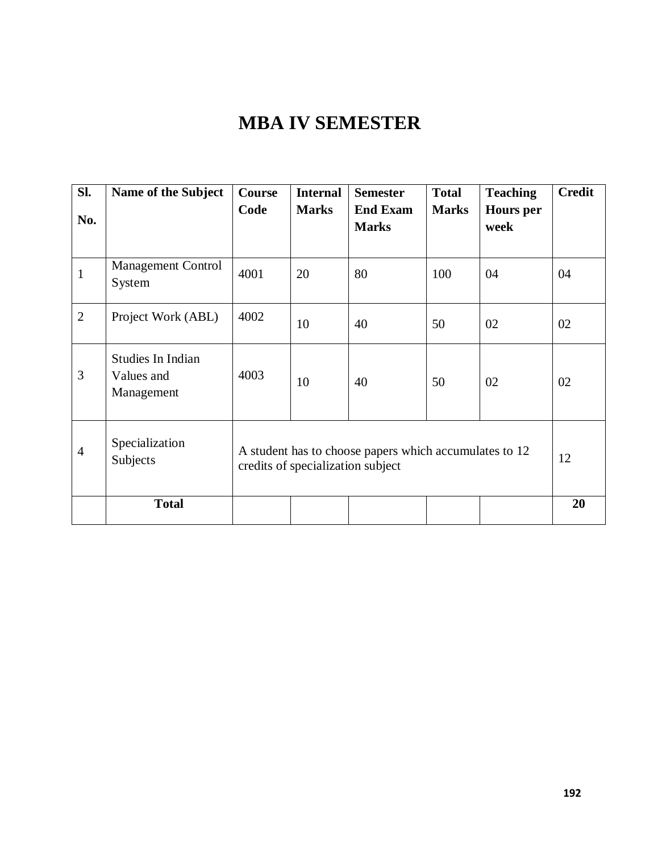# **MBA IV SEMESTER**

| SI.<br>No.     | Name of the Subject                           | Course<br>Code                                                                              | <b>Internal</b><br><b>Marks</b> | <b>Semester</b><br><b>End Exam</b><br><b>Marks</b> | <b>Total</b><br><b>Marks</b> | <b>Teaching</b><br><b>Hours</b> per<br>week | <b>Credit</b> |
|----------------|-----------------------------------------------|---------------------------------------------------------------------------------------------|---------------------------------|----------------------------------------------------|------------------------------|---------------------------------------------|---------------|
| $\mathbf{1}$   | <b>Management Control</b><br>System           | 4001                                                                                        | 20                              | 80                                                 | 100                          | 04                                          | 04            |
| $\overline{2}$ | Project Work (ABL)                            | 4002                                                                                        | 10                              | 40                                                 | 50                           | 02                                          | 02            |
| 3              | Studies In Indian<br>Values and<br>Management | 4003                                                                                        | 10                              | 40                                                 | 50                           | 02                                          | 02            |
| $\overline{4}$ | Specialization<br>Subjects                    | A student has to choose papers which accumulates to 12<br>credits of specialization subject |                                 |                                                    | 12                           |                                             |               |
|                | <b>Total</b>                                  |                                                                                             |                                 |                                                    |                              |                                             | 20            |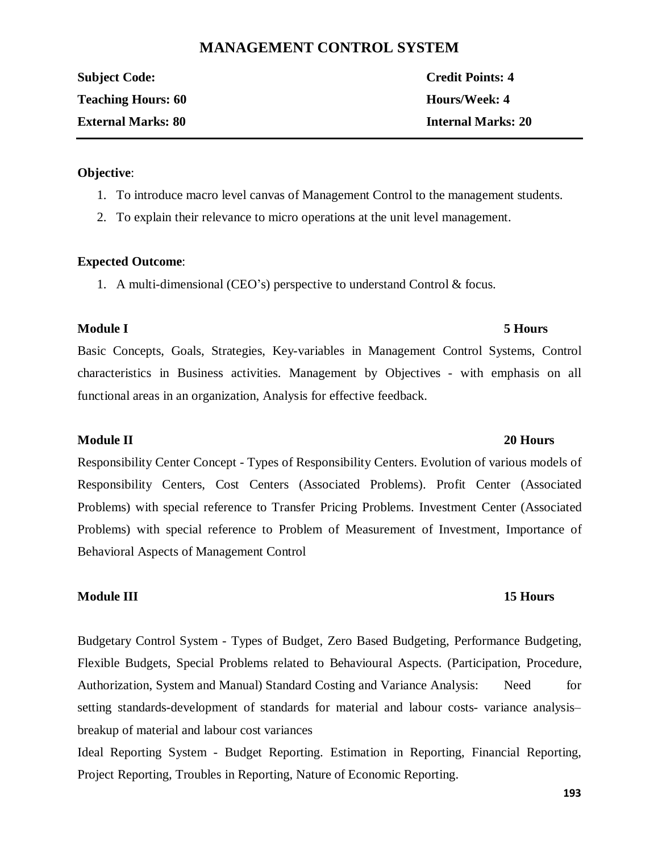# **MANAGEMENT CONTROL SYSTEM**

| <b>Subject Code:</b>      | <b>Credit Points: 4</b>   |
|---------------------------|---------------------------|
| <b>Teaching Hours: 60</b> | Hours/Week: 4             |
| <b>External Marks: 80</b> | <b>Internal Marks: 20</b> |

### **Objective**:

- 1. To introduce macro level canvas of Management Control to the management students.
- 2. To explain their relevance to micro operations at the unit level management.

### **Expected Outcome**:

1. A multi-dimensional (CEO's) perspective to understand Control & focus.

### **Module I 5 Hours**

Basic Concepts, Goals, Strategies, Key-variables in Management Control Systems, Control characteristics in Business activities. Management by Objectives - with emphasis on all functional areas in an organization, Analysis for effective feedback.

# **Module II 20 Hours**

Responsibility Center Concept - Types of Responsibility Centers. Evolution of various models of Responsibility Centers, Cost Centers (Associated Problems). Profit Center (Associated Problems) with special reference to Transfer Pricing Problems. Investment Center (Associated Problems) with special reference to Problem of Measurement of Investment, Importance of Behavioral Aspects of Management Control

### **Module III 15 Hours**

Budgetary Control System - Types of Budget, Zero Based Budgeting, Performance Budgeting, Flexible Budgets, Special Problems related to Behavioural Aspects. (Participation, Procedure, Authorization, System and Manual) Standard Costing and Variance Analysis: Need for setting standards-development of standards for material and labour costs- variance analysis– breakup of material and labour cost variances

Ideal Reporting System - Budget Reporting. Estimation in Reporting, Financial Reporting, Project Reporting, Troubles in Reporting, Nature of Economic Reporting.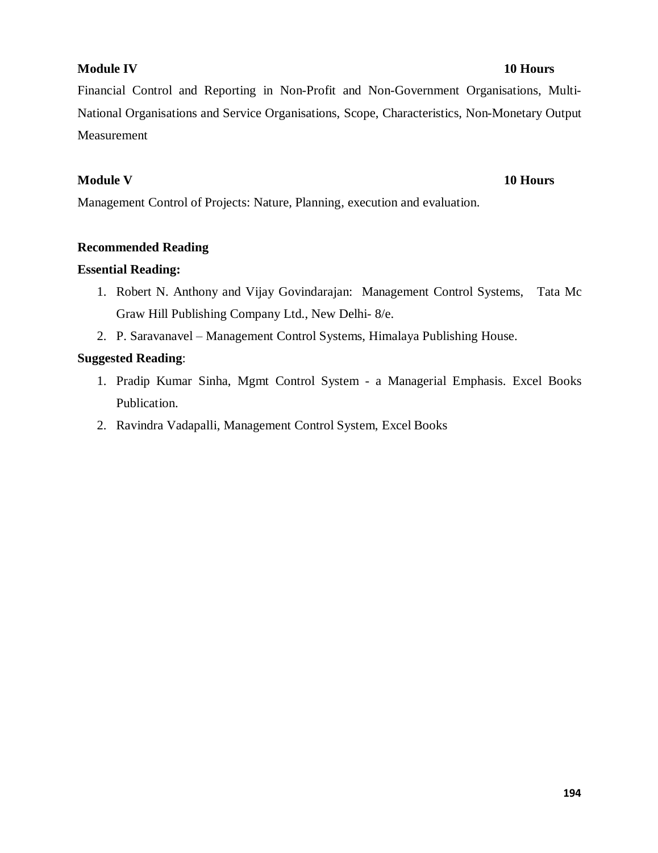### **Module IV 10 Hours**

Financial Control and Reporting in Non-Profit and Non-Government Organisations, Multi-National Organisations and Service Organisations, Scope, Characteristics, Non-Monetary Output Measurement

# **Module V 10 Hours**

Management Control of Projects: Nature, Planning, execution and evaluation.

### **Recommended Reading**

### **Essential Reading:**

- 1. Robert N. Anthony and Vijay Govindarajan: Management Control Systems, Tata Mc Graw Hill Publishing Company Ltd., New Delhi- 8/e.
- 2. P. Saravanavel Management Control Systems, Himalaya Publishing House.

### **Suggested Reading**:

- 1. Pradip Kumar Sinha, Mgmt Control System a Managerial Emphasis. Excel Books Publication.
- 2. Ravindra Vadapalli, Management Control System, Excel Books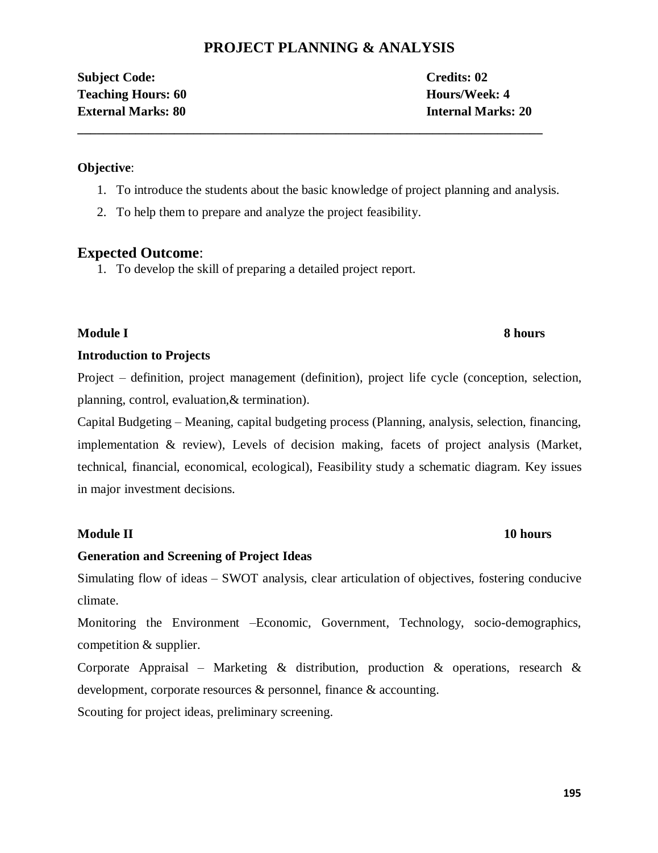# **PROJECT PLANNING & ANALYSIS**

**Subject Code: Credits: 02 Teaching Hours: 60 Hours/Week: 4 External Marks: 80 Internal Marks: 20**

# **Objective**:

1. To introduce the students about the basic knowledge of project planning and analysis.

**\_\_\_\_\_\_\_\_\_\_\_\_\_\_\_\_\_\_\_\_\_\_\_\_\_\_\_\_\_\_\_\_\_\_\_\_\_\_\_\_\_\_\_\_\_\_\_\_\_\_\_\_\_\_\_\_\_\_\_\_\_\_\_\_\_\_\_\_\_\_\_\_**

2. To help them to prepare and analyze the project feasibility.

# **Expected Outcome**:

1. To develop the skill of preparing a detailed project report.

# **Module I 8 hours**

# **Introduction to Projects**

Project – definition, project management (definition), project life cycle (conception, selection, planning, control, evaluation,& termination).

Capital Budgeting – Meaning, capital budgeting process (Planning, analysis, selection, financing, implementation & review), Levels of decision making, facets of project analysis (Market, technical, financial, economical, ecological), Feasibility study a schematic diagram. Key issues in major investment decisions.

# **Module II 10 hours**

# **Generation and Screening of Project Ideas**

Simulating flow of ideas – SWOT analysis, clear articulation of objectives, fostering conducive climate.

Monitoring the Environment –Economic, Government, Technology, socio-demographics, competition & supplier.

Corporate Appraisal – Marketing  $\&$  distribution, production  $\&$  operations, research  $\&$ development, corporate resources & personnel, finance & accounting.

Scouting for project ideas, preliminary screening.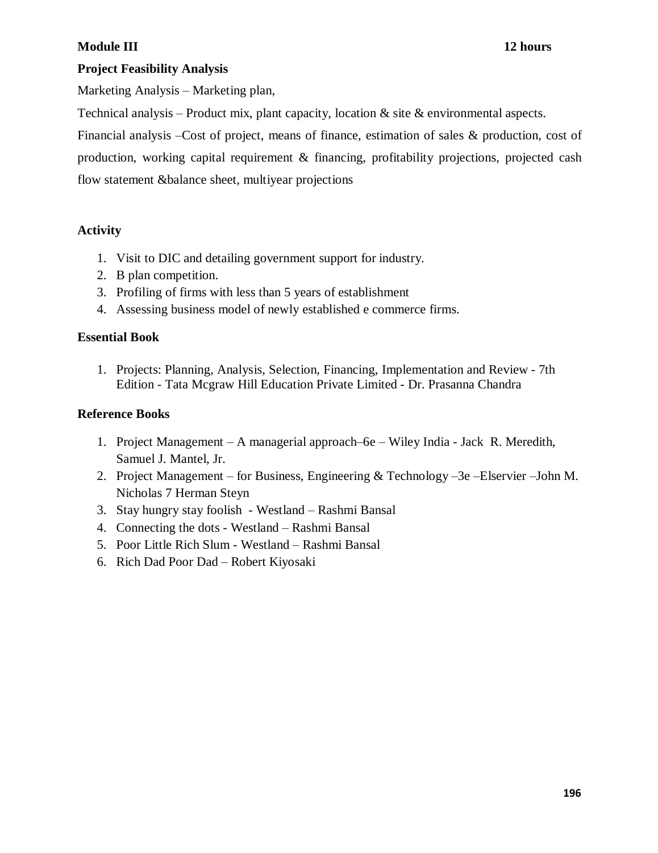# **Module III 12 hours**

# **Project Feasibility Analysis**

Marketing Analysis – Marketing plan,

Technical analysis – Product mix, plant capacity, location  $\&$  site  $\&$  environmental aspects.

Financial analysis –Cost of project, means of finance, estimation of sales & production, cost of production, working capital requirement & financing, profitability projections, projected cash flow statement &balance sheet, multiyear projections

# **Activity**

- 1. Visit to DIC and detailing government support for industry.
- 2. B plan competition.
- 3. Profiling of firms with less than 5 years of establishment
- 4. Assessing business model of newly established e commerce firms.

# **Essential Book**

1. Projects: Planning, Analysis, Selection, Financing, Implementation and Review - 7th Edition - Tata Mcgraw Hill Education Private Limited - Dr. Prasanna Chandra

# **Reference Books**

- 1. Project Management A managerial approach–6e Wiley India Jack R. Meredith, Samuel J. Mantel, Jr.
- 2. Project Management for Business, Engineering & Technology –3e –Elservier –John M. Nicholas 7 Herman Steyn
- 3. Stay hungry stay foolish Westland Rashmi Bansal
- 4. Connecting the dots Westland Rashmi Bansal
- 5. Poor Little Rich Slum Westland Rashmi Bansal
- 6. Rich Dad Poor Dad Robert Kiyosaki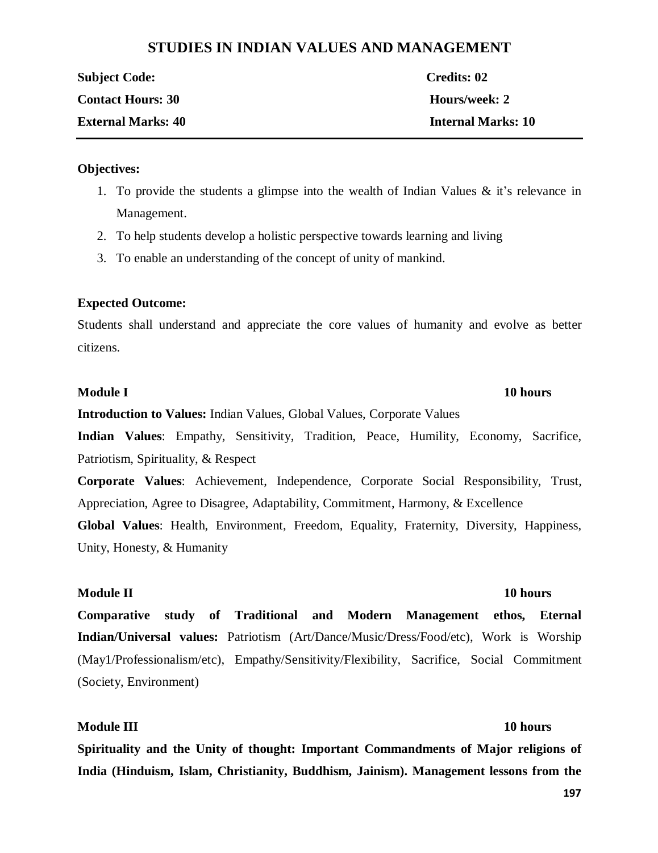# **STUDIES IN INDIAN VALUES AND MANAGEMENT**

| <b>Subject Code:</b>      | Credits: 02        |
|---------------------------|--------------------|
| <b>Contact Hours: 30</b>  | Hours/week: 2      |
| <b>External Marks: 40</b> | Internal Marks: 10 |

### **Objectives:**

- 1. To provide the students a glimpse into the wealth of Indian Values & it's relevance in Management.
- 2. To help students develop a holistic perspective towards learning and living
- 3. To enable an understanding of the concept of unity of mankind.

### **Expected Outcome:**

Students shall understand and appreciate the core values of humanity and evolve as better citizens.

### **Module I 10 hours**

**Introduction to Values:** Indian Values, Global Values, Corporate Values

**Indian Values**: Empathy, Sensitivity, Tradition, Peace, Humility, Economy, Sacrifice, Patriotism, Spirituality, & Respect

**Corporate Values**: Achievement, Independence, Corporate Social Responsibility, Trust, Appreciation, Agree to Disagree, Adaptability, Commitment, Harmony, & Excellence

**Global Values**: Health, Environment, Freedom, Equality, Fraternity, Diversity, Happiness, Unity, Honesty, & Humanity

### **Module II 10 hours**

**Comparative study of Traditional and Modern Management ethos, Eternal Indian/Universal values:** Patriotism (Art/Dance/Music/Dress/Food/etc), Work is Worship (May1/Professionalism/etc), Empathy/Sensitivity/Flexibility, Sacrifice, Social Commitment (Society, Environment)

# **Module III 10 hours**

**Spirituality and the Unity of thought: Important Commandments of Major religions of India (Hinduism, Islam, Christianity, Buddhism, Jainism). Management lessons from the** 

**197**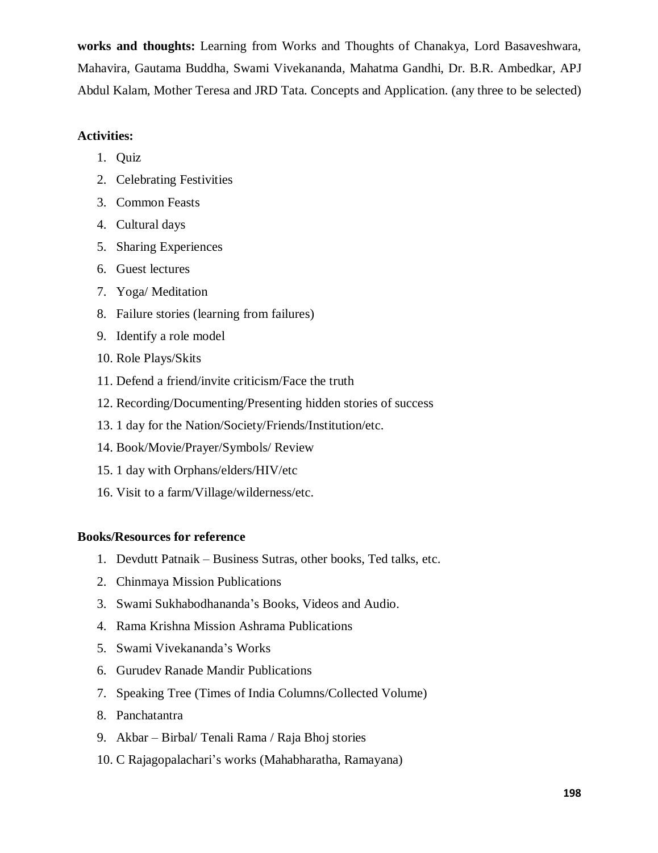**works and thoughts:** Learning from Works and Thoughts of Chanakya, Lord Basaveshwara, Mahavira, Gautama Buddha, Swami Vivekananda, Mahatma Gandhi, Dr. B.R. Ambedkar, APJ Abdul Kalam, Mother Teresa and JRD Tata. Concepts and Application. (any three to be selected)

# **Activities:**

- 1. Quiz
- 2. Celebrating Festivities
- 3. Common Feasts
- 4. Cultural days
- 5. Sharing Experiences
- 6. Guest lectures
- 7. Yoga/ Meditation
- 8. Failure stories (learning from failures)
- 9. Identify a role model
- 10. Role Plays/Skits
- 11. Defend a friend/invite criticism/Face the truth
- 12. Recording/Documenting/Presenting hidden stories of success
- 13. 1 day for the Nation/Society/Friends/Institution/etc.
- 14. Book/Movie/Prayer/Symbols/ Review
- 15. 1 day with Orphans/elders/HIV/etc
- 16. Visit to a farm/Village/wilderness/etc.

# **Books/Resources for reference**

- 1. Devdutt Patnaik Business Sutras, other books, Ted talks, etc.
- 2. Chinmaya Mission Publications
- 3. Swami Sukhabodhananda's Books, Videos and Audio.
- 4. Rama Krishna Mission Ashrama Publications
- 5. Swami Vivekananda's Works
- 6. Gurudev Ranade Mandir Publications
- 7. Speaking Tree (Times of India Columns/Collected Volume)
- 8. Panchatantra
- 9. Akbar Birbal/ Tenali Rama / Raja Bhoj stories
- 10. C Rajagopalachari's works (Mahabharatha, Ramayana)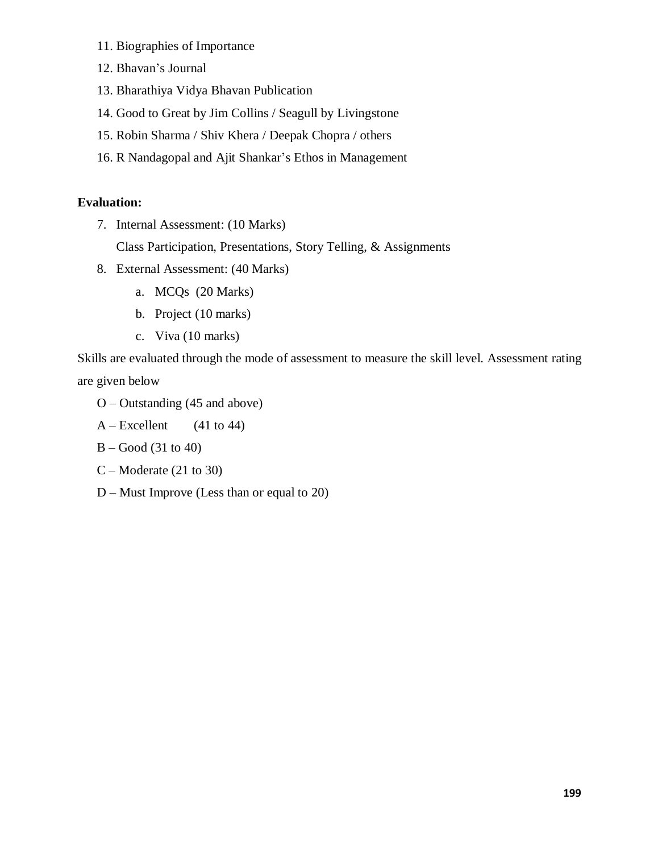- 11. Biographies of Importance
- 12. Bhavan's Journal
- 13. Bharathiya Vidya Bhavan Publication
- 14. Good to Great by Jim Collins / Seagull by Livingstone
- 15. Robin Sharma / Shiv Khera / Deepak Chopra / others
- 16. R Nandagopal and Ajit Shankar's Ethos in Management

# **Evaluation:**

7. Internal Assessment: (10 Marks)

Class Participation, Presentations, Story Telling, & Assignments

- 8. External Assessment: (40 Marks)
	- a. MCQs (20 Marks)
	- b. Project (10 marks)
	- c. Viva (10 marks)

Skills are evaluated through the mode of assessment to measure the skill level. Assessment rating are given below

- O Outstanding (45 and above)
- $A Excellent$  (41 to 44)
- B Good (31 to 40)
- C Moderate (21 to 30)
- D Must Improve (Less than or equal to 20)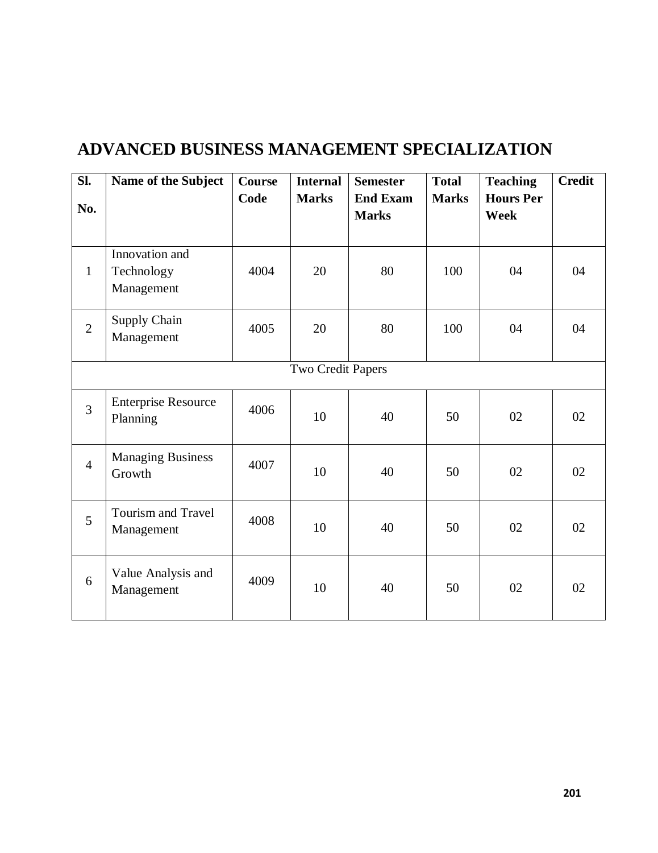| SI.<br>No.        | Name of the Subject                        | Course<br>Code | <b>Internal</b><br><b>Marks</b> | <b>Semester</b><br><b>End Exam</b><br><b>Marks</b> | <b>Total</b><br><b>Marks</b> | <b>Teaching</b><br><b>Hours Per</b><br>Week | <b>Credit</b> |
|-------------------|--------------------------------------------|----------------|---------------------------------|----------------------------------------------------|------------------------------|---------------------------------------------|---------------|
| $\mathbf{1}$      | Innovation and<br>Technology<br>Management | 4004           | 20                              | 80                                                 | 100                          | 04                                          | 04            |
| $\overline{2}$    | <b>Supply Chain</b><br>Management          | 4005           | 20                              | 80                                                 | 100                          | 04                                          | 04            |
| Two Credit Papers |                                            |                |                                 |                                                    |                              |                                             |               |
| $\overline{3}$    | <b>Enterprise Resource</b><br>Planning     | 4006           | 10                              | 40                                                 | 50                           | 02                                          | 02            |
| $\overline{4}$    | <b>Managing Business</b><br>Growth         | 4007           | 10                              | 40                                                 | 50                           | 02                                          | 02            |
| 5                 | <b>Tourism and Travel</b><br>Management    | 4008           | 10                              | 40                                                 | 50                           | 02                                          | 02            |
| 6                 | Value Analysis and<br>Management           | 4009           | 10                              | 40                                                 | 50                           | 02                                          | 02            |

# **ADVANCED BUSINESS MANAGEMENT SPECIALIZATION**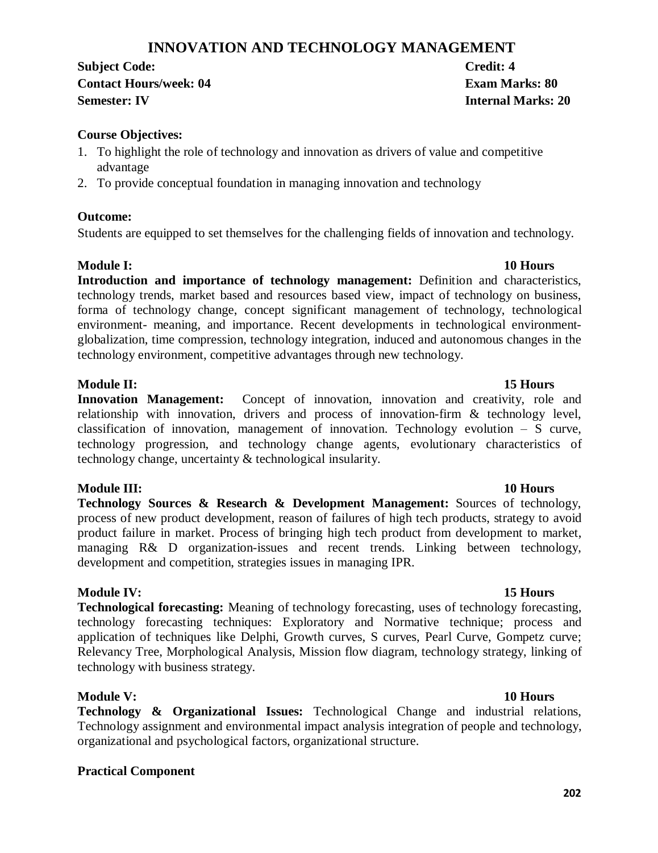# **INNOVATION AND TECHNOLOGY MANAGEMENT**

**Subject Code: Credit: 4 Contact Hours/week: 04 Exam Marks: 80 Semester: IV Internal Marks: 20**

# **Course Objectives:**

- 1. To highlight the role of technology and innovation as drivers of value and competitive advantage
- 2. To provide conceptual foundation in managing innovation and technology

### **Outcome:**

Students are equipped to set themselves for the challenging fields of innovation and technology.

### **Module I: 10 Hours**

**Introduction and importance of technology management:** Definition and characteristics, technology trends, market based and resources based view, impact of technology on business, forma of technology change, concept significant management of technology, technological environment- meaning, and importance. Recent developments in technological environmentglobalization, time compression, technology integration, induced and autonomous changes in the technology environment, competitive advantages through new technology.

### **Module II: 15 Hours**

Innovation Management: Concept of innovation, innovation and creativity, role and relationship with innovation, drivers and process of innovation-firm & technology level, classification of innovation, management of innovation. Technology evolution – S curve, technology progression, and technology change agents, evolutionary characteristics of technology change, uncertainty & technological insularity.

### **Module III: 10 Hours**

**Technology Sources & Research & Development Management:** Sources of technology, process of new product development, reason of failures of high tech products, strategy to avoid product failure in market. Process of bringing high tech product from development to market, managing R& D organization-issues and recent trends. Linking between technology, development and competition, strategies issues in managing IPR.

### **Module IV: 15 Hours**

**Technological forecasting:** Meaning of technology forecasting, uses of technology forecasting, technology forecasting techniques: Exploratory and Normative technique; process and application of techniques like Delphi, Growth curves, S curves, Pearl Curve, Gompetz curve; Relevancy Tree, Morphological Analysis, Mission flow diagram, technology strategy, linking of technology with business strategy.

# **Module V: 10 Hours**

**Technology & Organizational Issues:** Technological Change and industrial relations, Technology assignment and environmental impact analysis integration of people and technology, organizational and psychological factors, organizational structure.

### **Practical Component**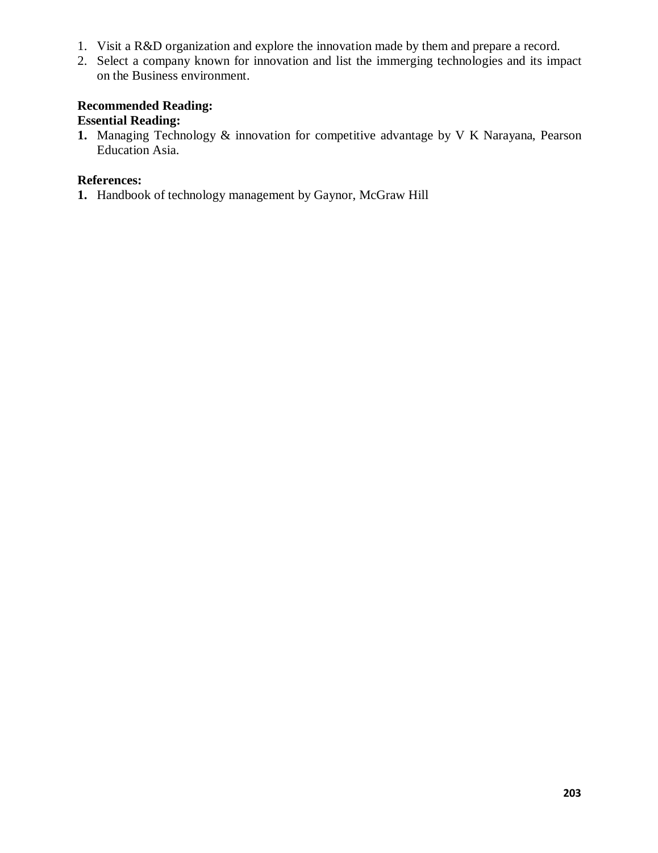- 1. Visit a R&D organization and explore the innovation made by them and prepare a record.
- 2. Select a company known for innovation and list the immerging technologies and its impact on the Business environment.

# **Recommended Reading:**

# **Essential Reading:**

**1.** Managing Technology & innovation for competitive advantage by V K Narayana, Pearson Education Asia.

# **References:**

**1.** Handbook of technology management by Gaynor, McGraw Hill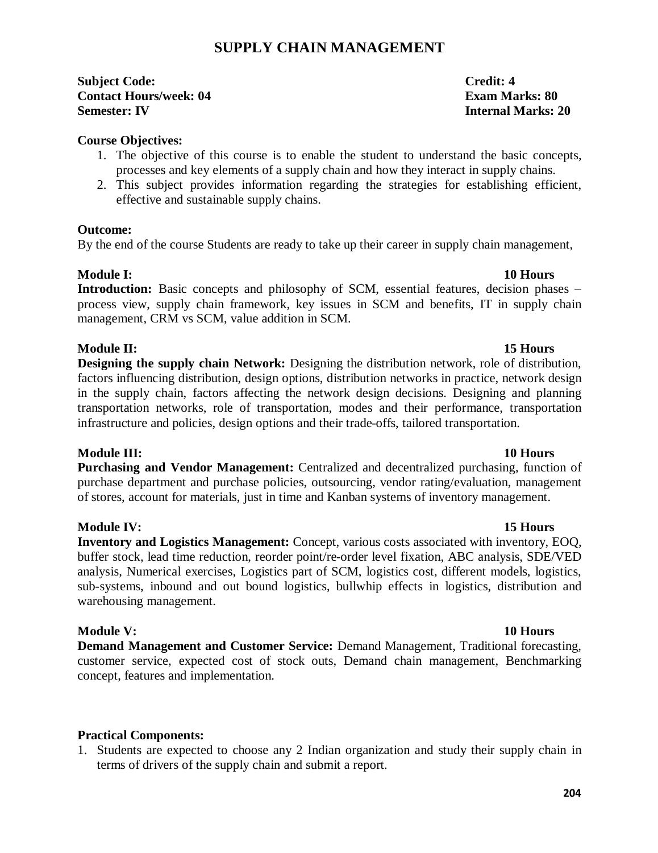# **SUPPLY CHAIN MANAGEMENT**

**Subject Code: Credit: 4 Contact Hours/week: 04 Exam Marks: 80 Semester: IV Internal Marks: 20**

### **Course Objectives:**

- 1. The objective of this course is to enable the student to understand the basic concepts, processes and key elements of a supply chain and how they interact in supply chains.
- 2. This subject provides information regarding the strategies for establishing efficient, effective and sustainable supply chains.

# **Outcome:**

By the end of the course Students are ready to take up their career in supply chain management,

# **Module I: 10 Hours**

Introduction: Basic concepts and philosophy of SCM, essential features, decision phases – process view, supply chain framework, key issues in SCM and benefits, IT in supply chain management, CRM vs SCM, value addition in SCM.

# **Module II: 15 Hours**

**Designing the supply chain Network:** Designing the distribution network, role of distribution, factors influencing distribution, design options, distribution networks in practice, network design in the supply chain, factors affecting the network design decisions. Designing and planning transportation networks, role of transportation, modes and their performance, transportation infrastructure and policies, design options and their trade-offs, tailored transportation.

### **Module III: 10 Hours**

**Purchasing and Vendor Management:** Centralized and decentralized purchasing, function of purchase department and purchase policies, outsourcing, vendor rating/evaluation, management of stores, account for materials, just in time and Kanban systems of inventory management.

# **Module IV: 15 Hours**

**Inventory and Logistics Management:** Concept, various costs associated with inventory, EOQ, buffer stock, lead time reduction, reorder point/re-order level fixation, ABC analysis, SDE/VED analysis, Numerical exercises, Logistics part of SCM, logistics cost, different models, logistics, sub-systems, inbound and out bound logistics, bullwhip effects in logistics, distribution and warehousing management.

# **Module V: 10 Hours**

**Demand Management and Customer Service:** Demand Management, Traditional forecasting, customer service, expected cost of stock outs, Demand chain management, Benchmarking concept, features and implementation.

# **Practical Components:**

1. Students are expected to choose any 2 Indian organization and study their supply chain in terms of drivers of the supply chain and submit a report.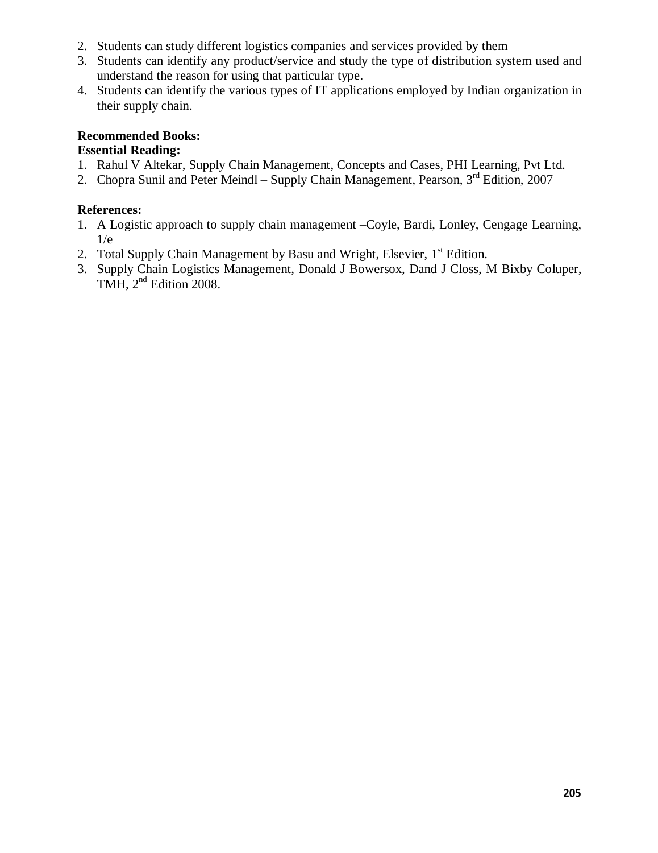- 2. Students can study different logistics companies and services provided by them
- 3. Students can identify any product/service and study the type of distribution system used and understand the reason for using that particular type.
- 4. Students can identify the various types of IT applications employed by Indian organization in their supply chain.

# **Recommended Books:**

# **Essential Reading:**

- 1. Rahul V Altekar, Supply Chain Management, Concepts and Cases, PHI Learning, Pvt Ltd.
- 2. Chopra Sunil and Peter Meindl Supply Chain Management, Pearson,  $3<sup>rd</sup>$  Edition, 2007

# **References:**

- 1. A Logistic approach to supply chain management –Coyle, Bardi, Lonley, Cengage Learning,  $1/e$
- 2. Total Supply Chain Management by Basu and Wright, Elsevier,  $1<sup>st</sup>$  Edition.
- 3. Supply Chain Logistics Management, Donald J Bowersox, Dand J Closs, M Bixby Coluper, TMH, 2<sup>nd</sup> Edition 2008.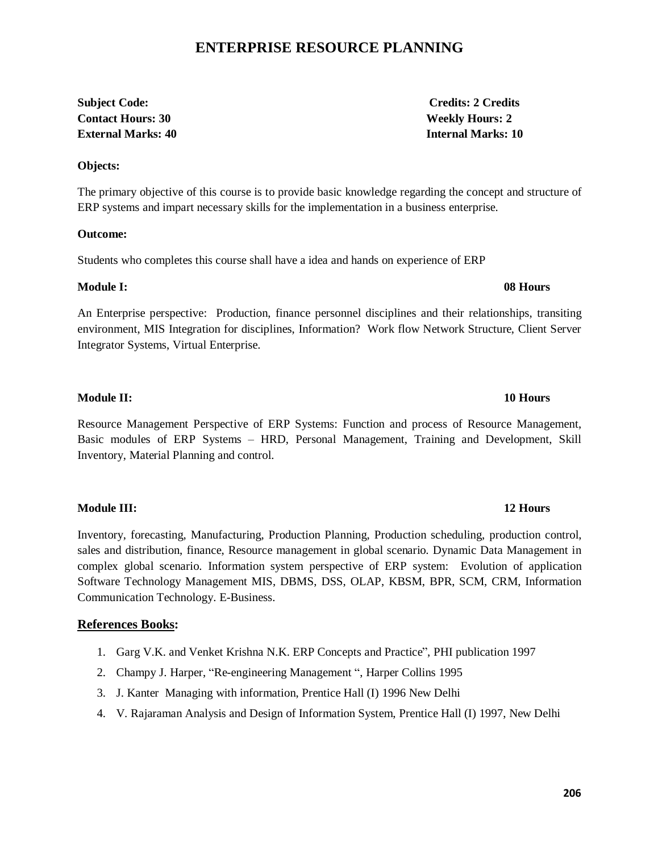# **ENTERPRISE RESOURCE PLANNING**

# **Subject Code: Credits: 2 Credits Contact Hours: 30 Weekly Hours: 2 External Marks: 40 Internal Marks: 10**

### **Objects:**

The primary objective of this course is to provide basic knowledge regarding the concept and structure of ERP systems and impart necessary skills for the implementation in a business enterprise.

### **Outcome:**

Students who completes this course shall have a idea and hands on experience of ERP

### **Module I: 08 Hours**

An Enterprise perspective: Production, finance personnel disciplines and their relationships, transiting environment, MIS Integration for disciplines, Information? Work flow Network Structure, Client Server Integrator Systems, Virtual Enterprise.

### **Module II: 10 Hours**

Resource Management Perspective of ERP Systems: Function and process of Resource Management, Basic modules of ERP Systems – HRD, Personal Management, Training and Development, Skill Inventory, Material Planning and control.

### **Module III: 12 Hours**

Inventory, forecasting, Manufacturing, Production Planning, Production scheduling, production control, sales and distribution, finance, Resource management in global scenario. Dynamic Data Management in complex global scenario. Information system perspective of ERP system: Evolution of application Software Technology Management MIS, DBMS, DSS, OLAP, KBSM, BPR, SCM, CRM, Information Communication Technology. E-Business.

### **References Books:**

- 1. Garg V.K. and Venket Krishna N.K. ERP Concepts and Practice", PHI publication 1997
- 2. Champy J. Harper, "Re-engineering Management ", Harper Collins 1995
- 3. J. Kanter Managing with information, Prentice Hall (I) 1996 New Delhi
- 4. V. Rajaraman Analysis and Design of Information System, Prentice Hall (I) 1997, New Delhi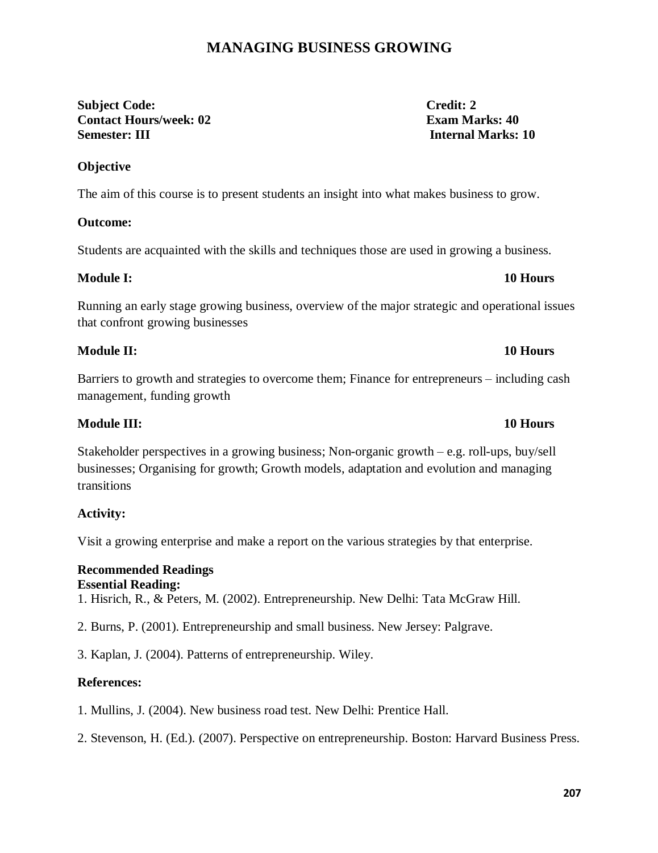# **MANAGING BUSINESS GROWING**

# **Subject Code: Credit: 2 Contact Hours/week: 02 Exam Marks: 40 Semester: III Internal Marks: 10**

The aim of this course is to present students an insight into what makes business to grow.

# **Outcome:**

**Objective** 

Students are acquainted with the skills and techniques those are used in growing a business.

# **Module I: 10 Hours**

Running an early stage growing business, overview of the major strategic and operational issues that confront growing businesses

# **Module II: 10 Hours**

Barriers to growth and strategies to overcome them; Finance for entrepreneurs – including cash management, funding growth

# **Module III: 10 Hours**

Stakeholder perspectives in a growing business; Non-organic growth – e.g. roll-ups, buy/sell businesses; Organising for growth; Growth models, adaptation and evolution and managing transitions

# **Activity:**

Visit a growing enterprise and make a report on the various strategies by that enterprise.

### **Recommended Readings Essential Reading:**

1. Hisrich, R., & Peters, M. (2002). Entrepreneurship. New Delhi: Tata McGraw Hill.

2. Burns, P. (2001). Entrepreneurship and small business. New Jersey: Palgrave.

3. Kaplan, J. (2004). Patterns of entrepreneurship. Wiley.

# **References:**

1. Mullins, J. (2004). New business road test. New Delhi: Prentice Hall.

2. Stevenson, H. (Ed.). (2007). Perspective on entrepreneurship. Boston: Harvard Business Press.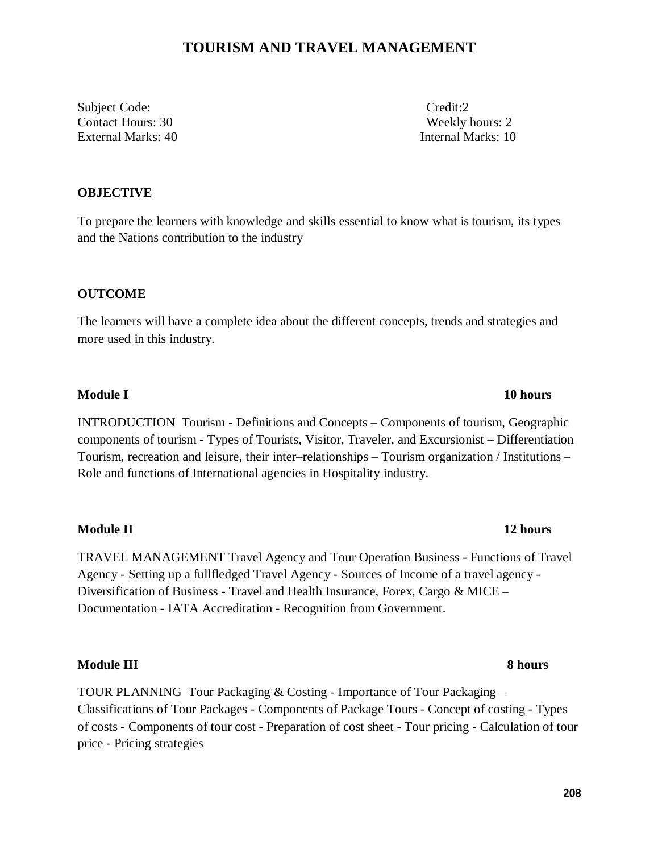# **TOURISM AND TRAVEL MANAGEMENT**

Subject Code: Credit:2 Contact Hours: 30 Weekly hours: 2 External Marks: 40 Internal Marks: 10

# **OBJECTIVE**

To prepare the learners with knowledge and skills essential to know what is tourism, its types and the Nations contribution to the industry

# **OUTCOME**

The learners will have a complete idea about the different concepts, trends and strategies and more used in this industry.

### **Module I** and the set of the set of the set of the set of the set of the set of the set of the set of the set of the set of the set of the set of the set of the set of the set of the set of the set of the set of the set o

INTRODUCTION Tourism - Definitions and Concepts – Components of tourism, Geographic components of tourism - Types of Tourists, Visitor, Traveler, and Excursionist – Differentiation Tourism, recreation and leisure, their inter–relationships – Tourism organization / Institutions – Role and functions of International agencies in Hospitality industry.

# **Module II** 12 hours

TRAVEL MANAGEMENT Travel Agency and Tour Operation Business - Functions of Travel Agency - Setting up a fullfledged Travel Agency - Sources of Income of a travel agency - Diversification of Business - Travel and Health Insurance, Forex, Cargo & MICE – Documentation - IATA Accreditation - Recognition from Government.

### **Module III 8 hours**

TOUR PLANNING Tour Packaging & Costing - Importance of Tour Packaging – Classifications of Tour Packages - Components of Package Tours - Concept of costing - Types of costs - Components of tour cost - Preparation of cost sheet - Tour pricing - Calculation of tour price - Pricing strategies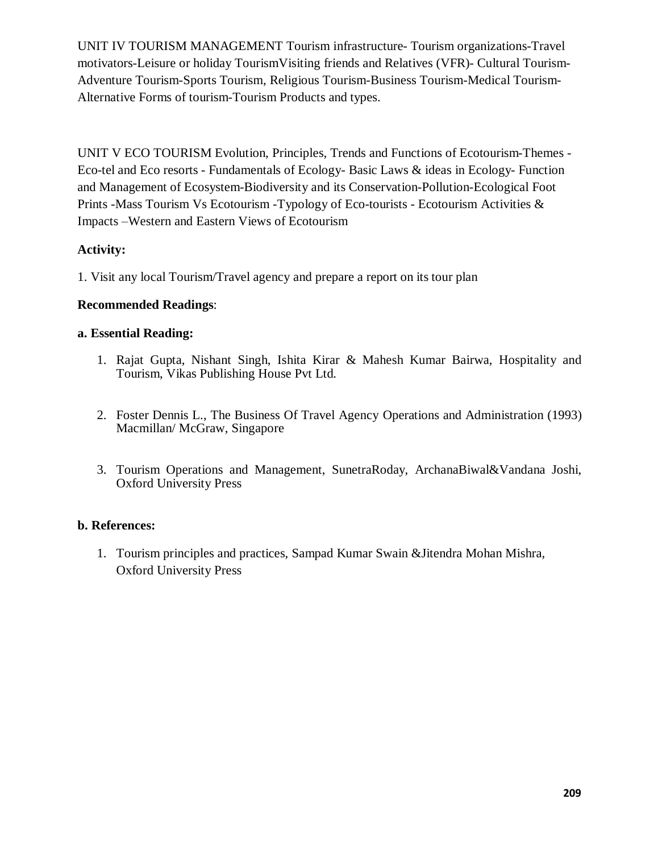UNIT IV TOURISM MANAGEMENT Tourism infrastructure- Tourism organizations-Travel motivators-Leisure or holiday TourismVisiting friends and Relatives (VFR)- Cultural Tourism-Adventure Tourism-Sports Tourism, Religious Tourism-Business Tourism-Medical Tourism-Alternative Forms of tourism-Tourism Products and types.

UNIT V ECO TOURISM Evolution, Principles, Trends and Functions of Ecotourism-Themes - Eco-tel and Eco resorts - Fundamentals of Ecology- Basic Laws & ideas in Ecology- Function and Management of Ecosystem-Biodiversity and its Conservation-Pollution-Ecological Foot Prints -Mass Tourism Vs Ecotourism -Typology of Eco-tourists - Ecotourism Activities & Impacts –Western and Eastern Views of Ecotourism

# **Activity:**

1. Visit any local Tourism/Travel agency and prepare a report on its tour plan

# **Recommended Readings**:

### **a. Essential Reading:**

- 1. Rajat Gupta, Nishant Singh, Ishita Kirar & Mahesh Kumar Bairwa, Hospitality and Tourism, Vikas Publishing House Pvt Ltd.
- 2. Foster Dennis L., The Business Of Travel Agency Operations and Administration (1993) Macmillan/ McGraw, Singapore
- 3. Tourism Operations and Management, SunetraRoday, ArchanaBiwal&Vandana Joshi, Oxford University Press

### **b. References:**

1. Tourism principles and practices, Sampad Kumar Swain &Jitendra Mohan Mishra, Oxford University Press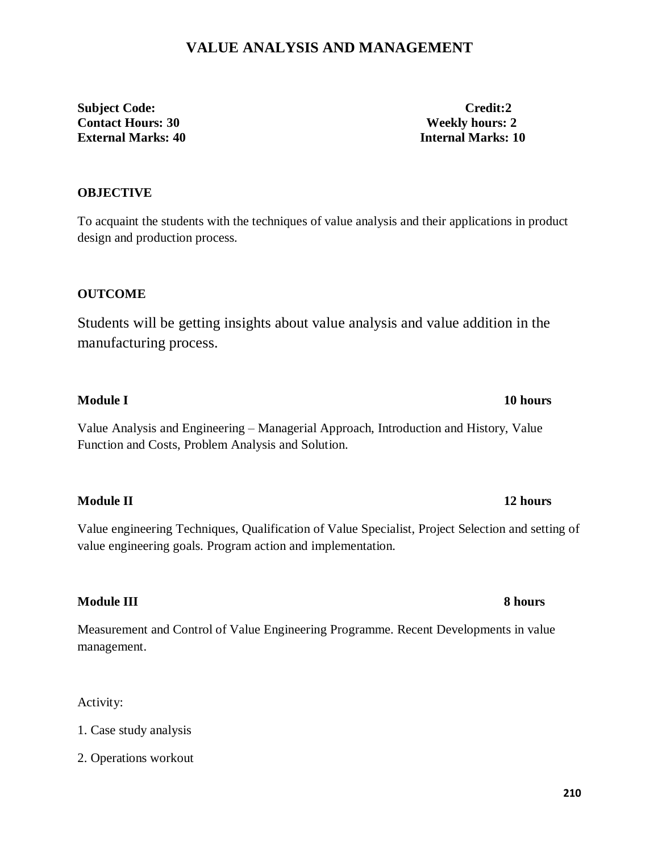# **VALUE ANALYSIS AND MANAGEMENT**

**Subject Code: Credit:2 Contact Hours: 30 Weekly hours: 2 External Marks: 40 Internal Marks: 10**

# **OBJECTIVE**

To acquaint the students with the techniques of value analysis and their applications in product design and production process.

# **OUTCOME**

Students will be getting insights about value analysis and value addition in the manufacturing process.

# **Module I** and the set of the set of the set of the set of the set of the set of the set of the set of the set of the set of the set of the set of the set of the set of the set of the set of the set of the set of the set o

Value Analysis and Engineering – Managerial Approach, Introduction and History, Value Function and Costs, Problem Analysis and Solution.

# **Module II** 12 hours

Value engineering Techniques, Qualification of Value Specialist, Project Selection and setting of value engineering goals. Program action and implementation.

# **Module III** 8 hours

Measurement and Control of Value Engineering Programme. Recent Developments in value management.

Activity:

1. Case study analysis

2. Operations workout

### **210**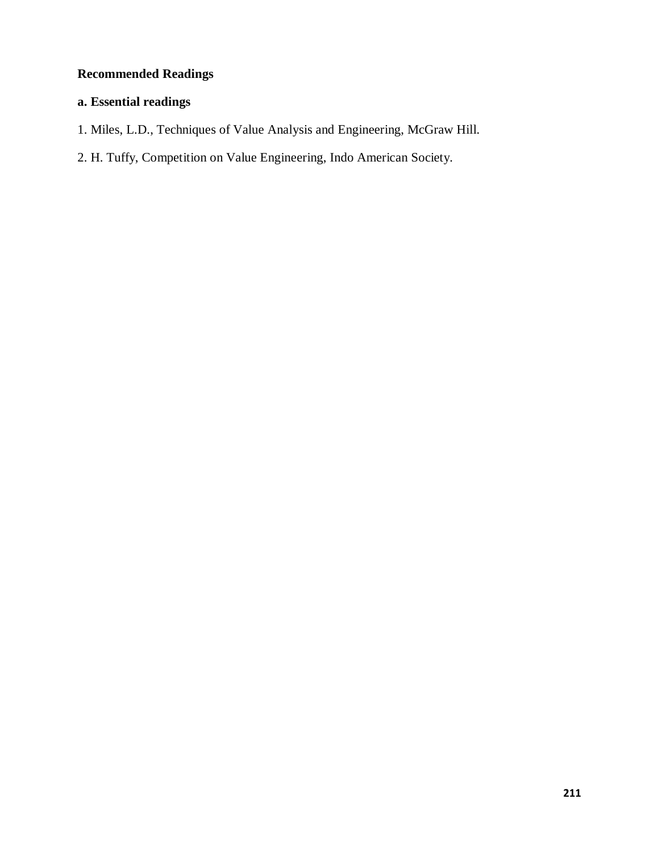# **Recommended Readings**

# **a. Essential readings**

- 1. Miles, L.D., Techniques of Value Analysis and Engineering, McGraw Hill.
- 2. H. Tuffy, Competition on Value Engineering, Indo American Society.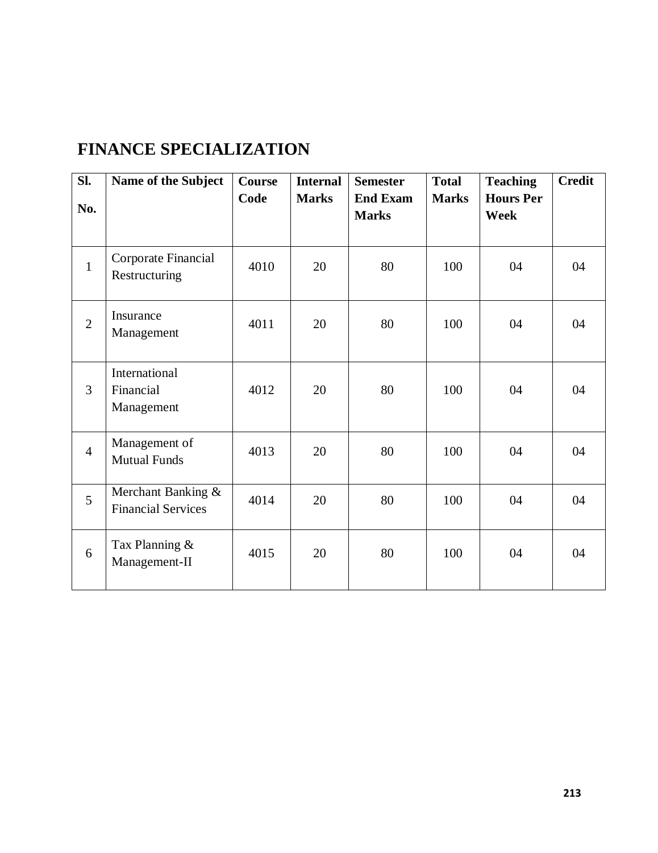# **FINANCE SPECIALIZATION**

| SI.            | Name of the Subject                             | <b>Course</b> | <b>Internal</b> | <b>Semester</b>                 | <b>Total</b> | <b>Teaching</b>                 | <b>Credit</b> |
|----------------|-------------------------------------------------|---------------|-----------------|---------------------------------|--------------|---------------------------------|---------------|
| No.            |                                                 | Code          | <b>Marks</b>    | <b>End Exam</b><br><b>Marks</b> | <b>Marks</b> | <b>Hours Per</b><br><b>Week</b> |               |
| $\mathbf{1}$   | Corporate Financial<br>Restructuring            | 4010          | 20              | 80                              | 100          | 04                              | 04            |
| $\overline{2}$ | Insurance<br>Management                         | 4011          | 20              | 80                              | 100          | 04                              | 04            |
| $\overline{3}$ | International<br>Financial<br>Management        | 4012          | 20              | 80                              | 100          | 04                              | 04            |
| $\overline{4}$ | Management of<br><b>Mutual Funds</b>            | 4013          | 20              | 80                              | 100          | 04                              | 04            |
| $\overline{5}$ | Merchant Banking &<br><b>Financial Services</b> | 4014          | 20              | 80                              | 100          | 04                              | 04            |
| 6              | Tax Planning &<br>Management-II                 | 4015          | 20              | 80                              | 100          | 04                              | 04            |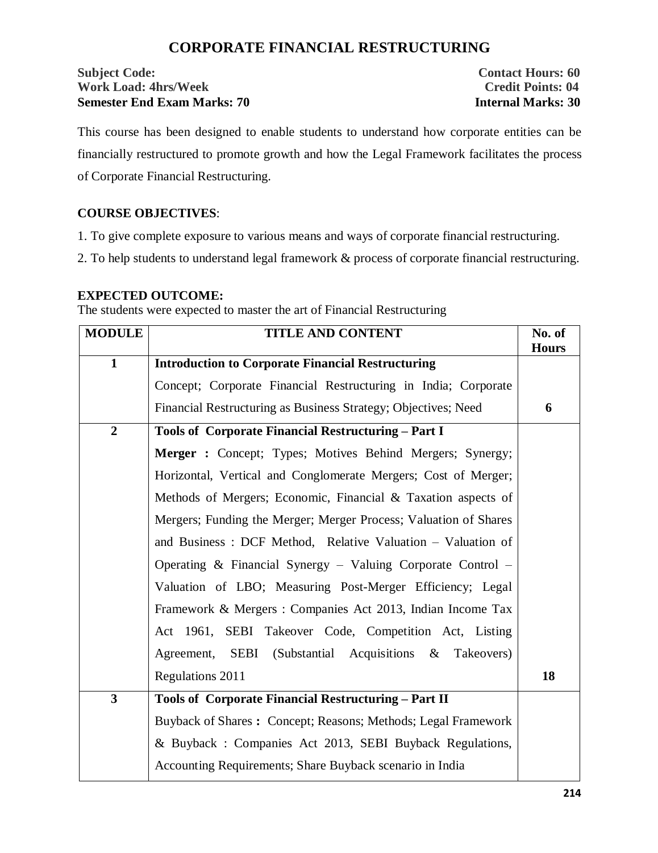# **CORPORATE FINANCIAL RESTRUCTURING**

# **Subject Code:** Contact Hours: 60 **Work Load: 4hrs/Week Credit Points: 04 Semester End Exam Marks: 70 Internal Marks: 30**

This course has been designed to enable students to understand how corporate entities can be financially restructured to promote growth and how the Legal Framework facilitates the process of Corporate Financial Restructuring.

# **COURSE OBJECTIVES**:

1. To give complete exposure to various means and ways of corporate financial restructuring.

2. To help students to understand legal framework & process of corporate financial restructuring.

# **EXPECTED OUTCOME:**

The students were expected to master the art of Financial Restructuring

| <b>MODULE</b>           | <b>TITLE AND CONTENT</b>                                         | No. of<br><b>Hours</b> |  |  |  |  |
|-------------------------|------------------------------------------------------------------|------------------------|--|--|--|--|
| $\mathbf{1}$            | <b>Introduction to Corporate Financial Restructuring</b>         |                        |  |  |  |  |
|                         | Concept; Corporate Financial Restructuring in India; Corporate   |                        |  |  |  |  |
|                         | Financial Restructuring as Business Strategy; Objectives; Need   | 6                      |  |  |  |  |
| $\overline{2}$          | Tools of Corporate Financial Restructuring - Part I              |                        |  |  |  |  |
|                         | Merger: Concept; Types; Motives Behind Mergers; Synergy;         |                        |  |  |  |  |
|                         | Horizontal, Vertical and Conglomerate Mergers; Cost of Merger;   |                        |  |  |  |  |
|                         | Methods of Mergers; Economic, Financial & Taxation aspects of    |                        |  |  |  |  |
|                         | Mergers; Funding the Merger; Merger Process; Valuation of Shares |                        |  |  |  |  |
|                         | and Business: DCF Method, Relative Valuation - Valuation of      |                        |  |  |  |  |
|                         | Operating & Financial Synergy - Valuing Corporate Control -      |                        |  |  |  |  |
|                         | Valuation of LBO; Measuring Post-Merger Efficiency; Legal        |                        |  |  |  |  |
|                         | Framework & Mergers : Companies Act 2013, Indian Income Tax      |                        |  |  |  |  |
|                         | Act 1961, SEBI Takeover Code, Competition Act, Listing           |                        |  |  |  |  |
|                         | Agreement, SEBI (Substantial Acquisitions & Takeovers)           |                        |  |  |  |  |
|                         | Regulations 2011                                                 | 18                     |  |  |  |  |
| $\overline{\mathbf{3}}$ | Tools of Corporate Financial Restructuring - Part II             |                        |  |  |  |  |
|                         | Buyback of Shares: Concept; Reasons; Methods; Legal Framework    |                        |  |  |  |  |
|                         | & Buyback : Companies Act 2013, SEBI Buyback Regulations,        |                        |  |  |  |  |
|                         | Accounting Requirements; Share Buyback scenario in India         |                        |  |  |  |  |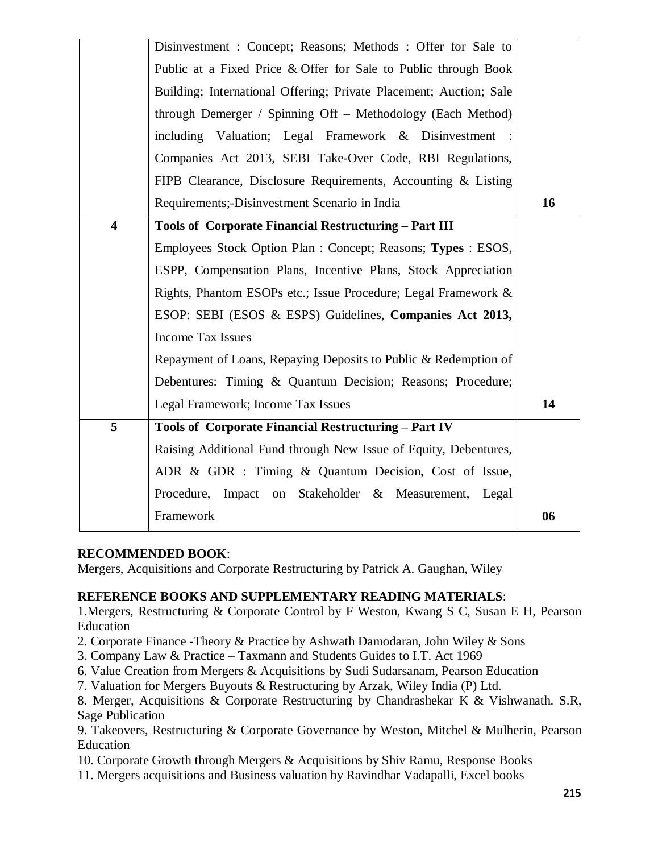|                         | Disinvestment: Concept; Reasons; Methods: Offer for Sale to        |    |  |  |  |
|-------------------------|--------------------------------------------------------------------|----|--|--|--|
|                         | Public at a Fixed Price & Offer for Sale to Public through Book    |    |  |  |  |
|                         | Building; International Offering; Private Placement; Auction; Sale |    |  |  |  |
|                         | through Demerger / Spinning Off – Methodology (Each Method)        |    |  |  |  |
|                         | including Valuation; Legal Framework & Disinvestment :             |    |  |  |  |
|                         | Companies Act 2013, SEBI Take-Over Code, RBI Regulations,          |    |  |  |  |
|                         | FIPB Clearance, Disclosure Requirements, Accounting & Listing      |    |  |  |  |
|                         | Requirements;-Disinvestment Scenario in India                      | 16 |  |  |  |
| $\overline{\mathbf{4}}$ | Tools of Corporate Financial Restructuring - Part III              |    |  |  |  |
|                         | Employees Stock Option Plan: Concept; Reasons; Types: ESOS,        |    |  |  |  |
|                         | ESPP, Compensation Plans, Incentive Plans, Stock Appreciation      |    |  |  |  |
|                         | Rights, Phantom ESOPs etc.; Issue Procedure; Legal Framework &     |    |  |  |  |
|                         | ESOP: SEBI (ESOS & ESPS) Guidelines, Companies Act 2013,           |    |  |  |  |
|                         | <b>Income Tax Issues</b>                                           |    |  |  |  |
|                         | Repayment of Loans, Repaying Deposits to Public & Redemption of    |    |  |  |  |
|                         | Debentures: Timing & Quantum Decision; Reasons; Procedure;         |    |  |  |  |
|                         | Legal Framework; Income Tax Issues                                 | 14 |  |  |  |
| 5                       | Tools of Corporate Financial Restructuring - Part IV               |    |  |  |  |
|                         | Raising Additional Fund through New Issue of Equity, Debentures,   |    |  |  |  |
|                         | ADR & GDR : Timing & Quantum Decision, Cost of Issue,              |    |  |  |  |
|                         | Procedure, Impact on<br>Stakeholder & Measurement, Legal           |    |  |  |  |
|                         | Framework                                                          | 06 |  |  |  |
|                         |                                                                    |    |  |  |  |

# **RECOMMENDED BOOK**:

Mergers, Acquisitions and Corporate Restructuring by Patrick A. Gaughan, Wiley

# **REFERENCE BOOKS AND SUPPLEMENTARY READING MATERIALS**:

1.Mergers, Restructuring & Corporate Control by F Weston, Kwang S C, Susan E H, Pearson Education

- 2. Corporate Finance -Theory & Practice by Ashwath Damodaran, John Wiley & Sons
- 3. Company Law & Practice Taxmann and Students Guides to I.T. Act 1969
- 6. Value Creation from Mergers & Acquisitions by Sudi Sudarsanam, Pearson Education
- 7. Valuation for Mergers Buyouts & Restructuring by Arzak, Wiley India (P) Ltd.
- 8. Merger, Acquisitions & Corporate Restructuring by Chandrashekar K & Vishwanath. S.R, Sage Publication

9. Takeovers, Restructuring & Corporate Governance by Weston, Mitchel & Mulherin, Pearson Education

10. Corporate Growth through Mergers & Acquisitions by Shiv Ramu, Response Books

11. Mergers acquisitions and Business valuation by Ravindhar Vadapalli, Excel books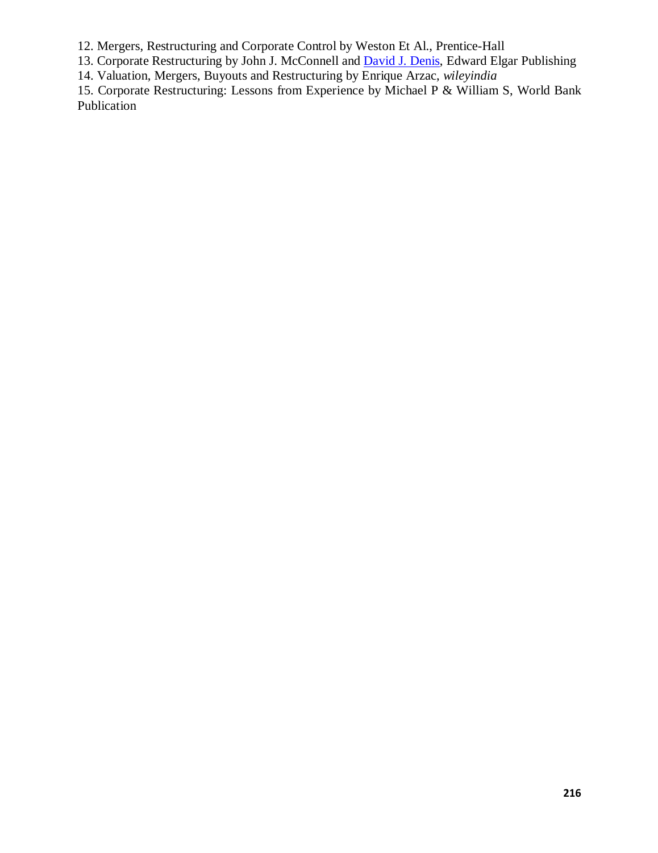12. Mergers, Restructuring and Corporate Control by Weston Et Al., Prentice-Hall

13. Corporate Restructuring by John J. McConnell and **David J. Denis**, Edward Elgar Publishing

14. Valuation, Mergers, Buyouts and Restructuring by Enrique Arzac, *wileyindia*

15. Corporate Restructuring: Lessons from Experience by Michael P & William S, World Bank Publication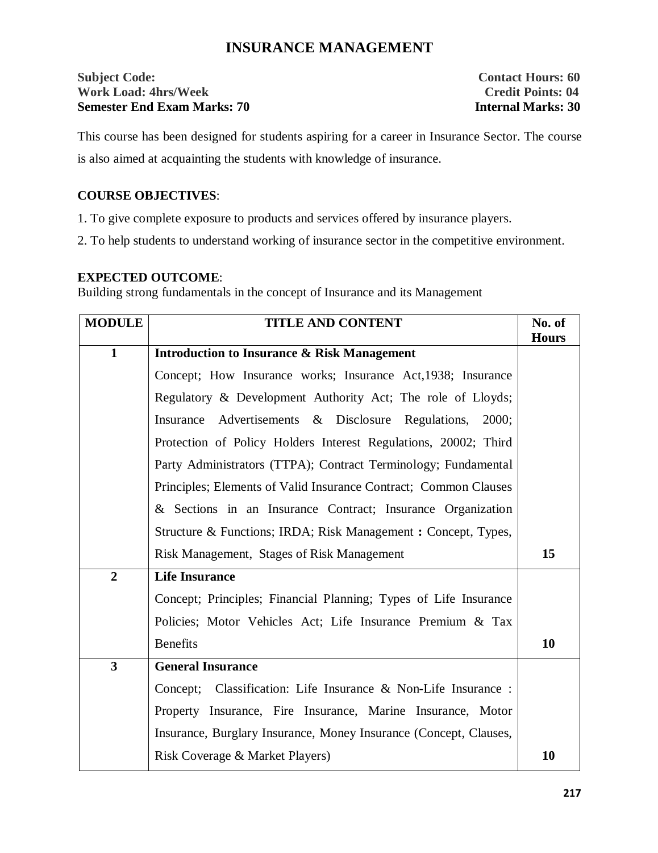# **INSURANCE MANAGEMENT**

# **Subject Code:** Contact Hours: 60 **Work Load: 4hrs/Week Credit Points: 04 Semester End Exam Marks: 70 Internal Marks: 30**

This course has been designed for students aspiring for a career in Insurance Sector. The course is also aimed at acquainting the students with knowledge of insurance.

### **COURSE OBJECTIVES**:

1. To give complete exposure to products and services offered by insurance players.

2. To help students to understand working of insurance sector in the competitive environment.

### **EXPECTED OUTCOME**:

Building strong fundamentals in the concept of Insurance and its Management

| <b>MODULE</b>  | <b>TITLE AND CONTENT</b>                                          | No. of<br><b>Hours</b> |  |  |  |  |
|----------------|-------------------------------------------------------------------|------------------------|--|--|--|--|
| $\mathbf{1}$   | <b>Introduction to Insurance &amp; Risk Management</b>            |                        |  |  |  |  |
|                | Concept; How Insurance works; Insurance Act, 1938; Insurance      |                        |  |  |  |  |
|                | Regulatory & Development Authority Act; The role of Lloyds;       |                        |  |  |  |  |
|                | Insurance Advertisements & Disclosure Regulations, 2000;          |                        |  |  |  |  |
|                | Protection of Policy Holders Interest Regulations, 20002; Third   |                        |  |  |  |  |
|                | Party Administrators (TTPA); Contract Terminology; Fundamental    |                        |  |  |  |  |
|                | Principles; Elements of Valid Insurance Contract; Common Clauses  |                        |  |  |  |  |
|                | & Sections in an Insurance Contract; Insurance Organization       |                        |  |  |  |  |
|                | Structure & Functions; IRDA; Risk Management : Concept, Types,    |                        |  |  |  |  |
|                | Risk Management, Stages of Risk Management                        | 15                     |  |  |  |  |
| $\overline{2}$ | <b>Life Insurance</b>                                             |                        |  |  |  |  |
|                | Concept; Principles; Financial Planning; Types of Life Insurance  |                        |  |  |  |  |
|                | Policies; Motor Vehicles Act; Life Insurance Premium & Tax        |                        |  |  |  |  |
|                | <b>Benefits</b>                                                   | 10                     |  |  |  |  |
| $\overline{3}$ | <b>General Insurance</b>                                          |                        |  |  |  |  |
|                | Concept; Classification: Life Insurance & Non-Life Insurance :    |                        |  |  |  |  |
|                | Property Insurance, Fire Insurance, Marine Insurance, Motor       |                        |  |  |  |  |
|                | Insurance, Burglary Insurance, Money Insurance (Concept, Clauses, |                        |  |  |  |  |
|                | Risk Coverage & Market Players)                                   | 10                     |  |  |  |  |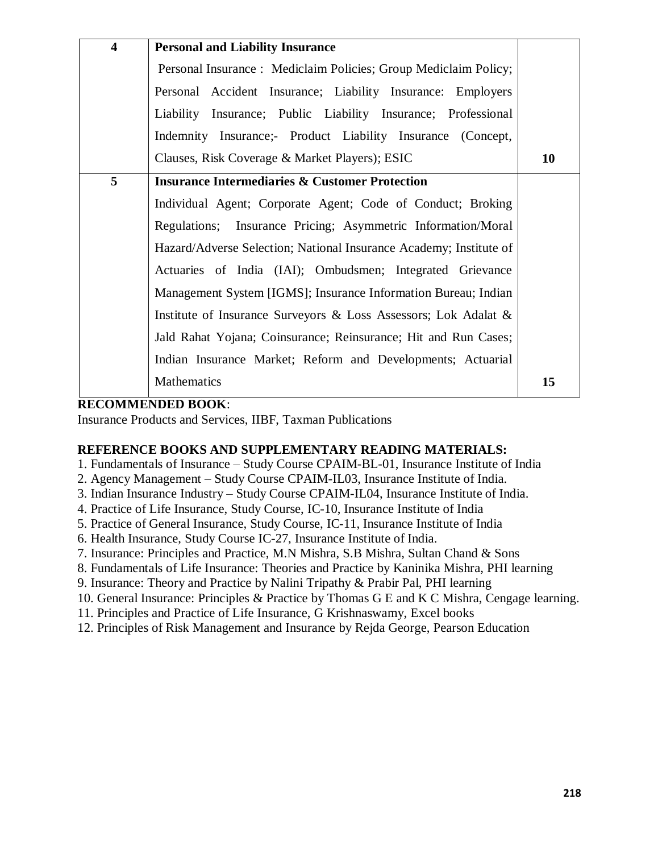| $\overline{\mathbf{4}}$ | <b>Personal and Liability Insurance</b>                            |    |
|-------------------------|--------------------------------------------------------------------|----|
|                         | Personal Insurance: Mediclaim Policies; Group Mediclaim Policy;    |    |
|                         | Personal Accident Insurance; Liability Insurance: Employers        |    |
|                         | Liability Insurance; Public Liability Insurance; Professional      |    |
|                         | Indemnity Insurance;- Product Liability Insurance (Concept,        |    |
|                         | Clauses, Risk Coverage & Market Players); ESIC                     | 10 |
| 5                       | <b>Insurance Intermediaries &amp; Customer Protection</b>          |    |
|                         | Individual Agent; Corporate Agent; Code of Conduct; Broking        |    |
|                         | Regulations; Insurance Pricing; Asymmetric Information/Moral       |    |
|                         | Hazard/Adverse Selection; National Insurance Academy; Institute of |    |
|                         | Actuaries of India (IAI); Ombudsmen; Integrated Grievance          |    |
|                         | Management System [IGMS]; Insurance Information Bureau; Indian     |    |
|                         | Institute of Insurance Surveyors & Loss Assessors; Lok Adalat &    |    |
|                         | Jald Rahat Yojana; Coinsurance; Reinsurance; Hit and Run Cases;    |    |
|                         | Indian Insurance Market; Reform and Developments; Actuarial        |    |
|                         | Mathematics                                                        | 15 |

# **RECOMMENDED BOOK**:

Insurance Products and Services, IIBF, Taxman Publications

### **REFERENCE BOOKS AND SUPPLEMENTARY READING MATERIALS:**

- 1. Fundamentals of Insurance Study Course CPAIM-BL-01, Insurance Institute of India
- 2. Agency Management Study Course CPAIM-IL03, Insurance Institute of India.
- 3. Indian Insurance Industry Study Course CPAIM-IL04, Insurance Institute of India.
- 4. Practice of Life Insurance, Study Course, IC-10, Insurance Institute of India
- 5. Practice of General Insurance, Study Course, IC-11, Insurance Institute of India
- 6. Health Insurance, Study Course IC-27, Insurance Institute of India.
- 7. Insurance: Principles and Practice, M.N Mishra, S.B Mishra, Sultan Chand & Sons
- 8. Fundamentals of Life Insurance: Theories and Practice by Kaninika Mishra, PHI learning
- 9. Insurance: Theory and Practice by Nalini Tripathy & Prabir Pal, PHI learning
- 10. General Insurance: Principles & Practice by Thomas G E and K C Mishra, Cengage learning.
- 11. Principles and Practice of Life Insurance, G Krishnaswamy, Excel books
- 12. Principles of Risk Management and Insurance by Rejda George, Pearson Education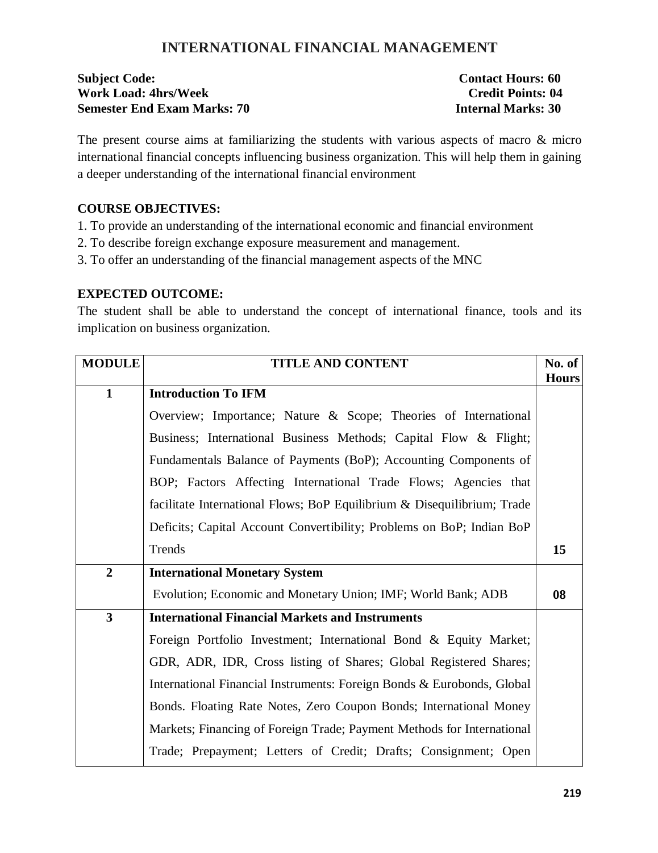# **INTERNATIONAL FINANCIAL MANAGEMENT**

| <b>Subject Code:</b>               | <b>Contact Hours: 60</b>  |
|------------------------------------|---------------------------|
| <b>Work Load: 4hrs/Week</b>        | <b>Credit Points: 04</b>  |
| <b>Semester End Exam Marks: 70</b> | <b>Internal Marks: 30</b> |

The present course aims at familiarizing the students with various aspects of macro & micro international financial concepts influencing business organization. This will help them in gaining a deeper understanding of the international financial environment

### **COURSE OBJECTIVES:**

- 1. To provide an understanding of the international economic and financial environment
- 2. To describe foreign exchange exposure measurement and management.
- 3. To offer an understanding of the financial management aspects of the MNC

# **EXPECTED OUTCOME:**

The student shall be able to understand the concept of international finance, tools and its implication on business organization.

| <b>MODULE</b>  | <b>TITLE AND CONTENT</b>                                                | No. of<br><b>Hours</b> |
|----------------|-------------------------------------------------------------------------|------------------------|
| $\mathbf{1}$   | <b>Introduction To IFM</b>                                              |                        |
|                | Overview; Importance; Nature & Scope; Theories of International         |                        |
|                | Business; International Business Methods; Capital Flow & Flight;        |                        |
|                | Fundamentals Balance of Payments (BoP); Accounting Components of        |                        |
|                | BOP; Factors Affecting International Trade Flows; Agencies that         |                        |
|                | facilitate International Flows; BoP Equilibrium & Disequilibrium; Trade |                        |
|                | Deficits; Capital Account Convertibility; Problems on BoP; Indian BoP   |                        |
|                | Trends                                                                  | 15                     |
| $\overline{2}$ | <b>International Monetary System</b>                                    |                        |
|                | Evolution; Economic and Monetary Union; IMF; World Bank; ADB            | 08                     |
| $\overline{3}$ | <b>International Financial Markets and Instruments</b>                  |                        |
|                | Foreign Portfolio Investment; International Bond & Equity Market;       |                        |
|                | GDR, ADR, IDR, Cross listing of Shares; Global Registered Shares;       |                        |
|                | International Financial Instruments: Foreign Bonds & Eurobonds, Global  |                        |
|                | Bonds. Floating Rate Notes, Zero Coupon Bonds; International Money      |                        |
|                | Markets; Financing of Foreign Trade; Payment Methods for International  |                        |
|                | Trade; Prepayment; Letters of Credit; Drafts; Consignment; Open         |                        |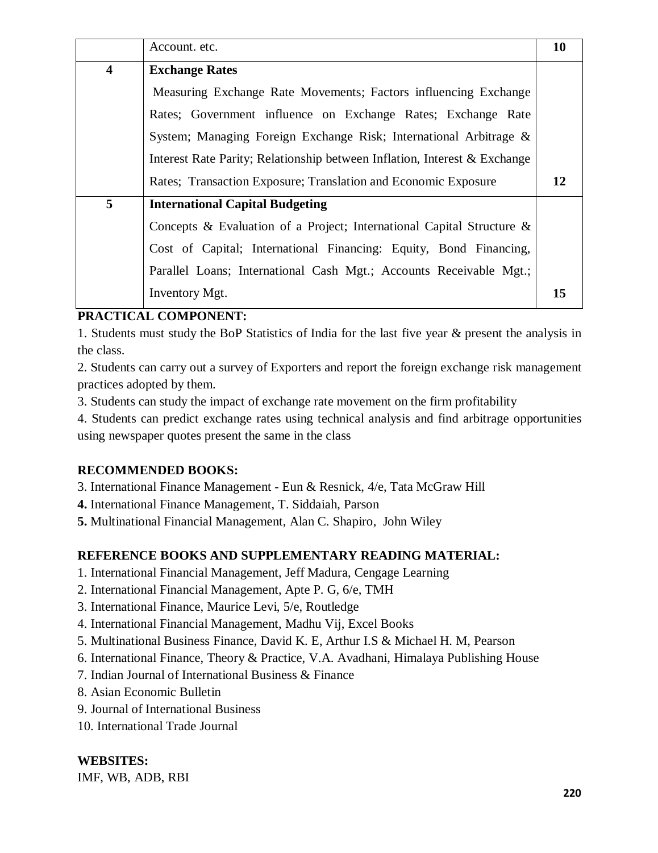|                         | Account. etc.                                                             | 10 |  |  |  |  |
|-------------------------|---------------------------------------------------------------------------|----|--|--|--|--|
| $\overline{\mathbf{4}}$ | <b>Exchange Rates</b>                                                     |    |  |  |  |  |
|                         | Measuring Exchange Rate Movements; Factors influencing Exchange           |    |  |  |  |  |
|                         | Rates; Government influence on Exchange Rates; Exchange Rate              |    |  |  |  |  |
|                         | System; Managing Foreign Exchange Risk; International Arbitrage &         |    |  |  |  |  |
|                         | Interest Rate Parity; Relationship between Inflation, Interest & Exchange |    |  |  |  |  |
|                         | Rates; Transaction Exposure; Translation and Economic Exposure            | 12 |  |  |  |  |
| 5                       | <b>International Capital Budgeting</b>                                    |    |  |  |  |  |
|                         | Concepts & Evaluation of a Project; International Capital Structure &     |    |  |  |  |  |
|                         | Cost of Capital; International Financing: Equity, Bond Financing,         |    |  |  |  |  |
|                         | Parallel Loans; International Cash Mgt.; Accounts Receivable Mgt.;        |    |  |  |  |  |
|                         | Inventory Mgt.                                                            | 15 |  |  |  |  |

# **PRACTICAL COMPONENT:**

1. Students must study the BoP Statistics of India for the last five year & present the analysis in the class.

2. Students can carry out a survey of Exporters and report the foreign exchange risk management practices adopted by them.

3. Students can study the impact of exchange rate movement on the firm profitability

4. Students can predict exchange rates using technical analysis and find arbitrage opportunities using newspaper quotes present the same in the class

# **RECOMMENDED BOOKS:**

3. International Finance Management - Eun & Resnick, 4/e, Tata McGraw Hill

**4.** International Finance Management, T. Siddaiah, Parson

**5.** Multinational Financial Management, Alan C. Shapiro, John Wiley

# **REFERENCE BOOKS AND SUPPLEMENTARY READING MATERIAL:**

- 1. International Financial Management, Jeff Madura, Cengage Learning
- 2. International Financial Management, Apte P. G, 6/e, TMH
- 3. International Finance, Maurice Levi, 5/e, Routledge
- 4. International Financial Management, Madhu Vij, Excel Books
- 5. Multinational Business Finance, David K. E, Arthur I.S & Michael H. M, Pearson
- 6. International Finance, Theory & Practice, V.A. Avadhani, Himalaya Publishing House
- 7. Indian Journal of International Business & Finance
- 8. Asian Economic Bulletin
- 9. Journal of International Business
- 10. International Trade Journal

# **WEBSITES:**

IMF, WB, ADB, RBI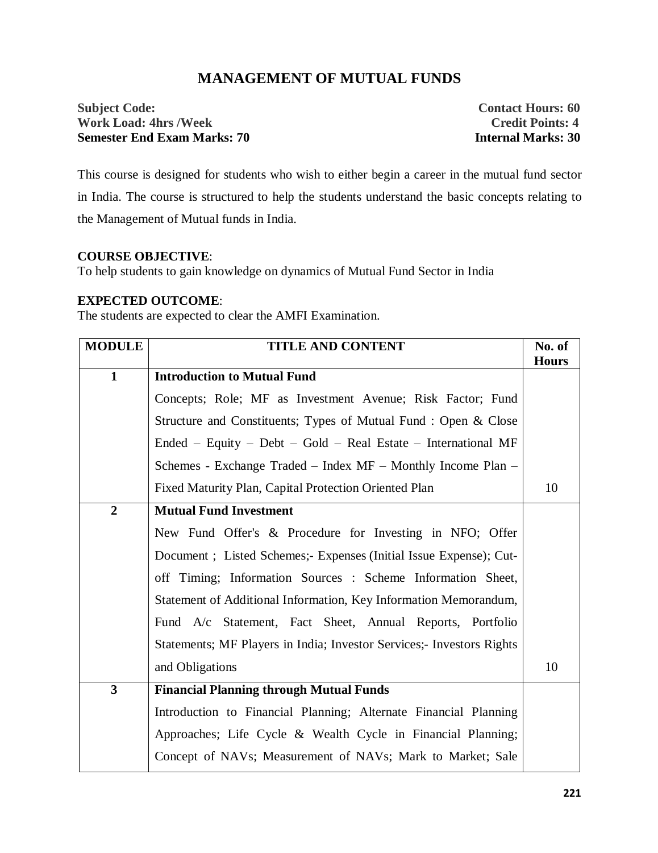# **MANAGEMENT OF MUTUAL FUNDS**

# **Subject Code:** Contact Hours: 60 **Work Load: 4hrs /Week Credit Points: 4 Semester End Exam Marks: 70 Internal Marks: 30**

This course is designed for students who wish to either begin a career in the mutual fund sector in India. The course is structured to help the students understand the basic concepts relating to the Management of Mutual funds in India.

# **COURSE OBJECTIVE**:

To help students to gain knowledge on dynamics of Mutual Fund Sector in India

# **EXPECTED OUTCOME**:

The students are expected to clear the AMFI Examination.

| <b>MODULE</b>           | <b>TITLE AND CONTENT</b>                                              | No. of<br><b>Hours</b> |
|-------------------------|-----------------------------------------------------------------------|------------------------|
| $\mathbf{1}$            | <b>Introduction to Mutual Fund</b>                                    |                        |
|                         | Concepts; Role; MF as Investment Avenue; Risk Factor; Fund            |                        |
|                         | Structure and Constituents; Types of Mutual Fund: Open & Close        |                        |
|                         | Ended – Equity – Debt – Gold – Real Estate – International MF         |                        |
|                         | Schemes - Exchange Traded – Index MF – Monthly Income Plan –          |                        |
|                         | Fixed Maturity Plan, Capital Protection Oriented Plan                 | 10                     |
| $\overline{2}$          | <b>Mutual Fund Investment</b>                                         |                        |
|                         | New Fund Offer's & Procedure for Investing in NFO; Offer              |                        |
|                         | Document; Listed Schemes; Expenses (Initial Issue Expense); Cut-      |                        |
|                         | off Timing; Information Sources : Scheme Information Sheet,           |                        |
|                         | Statement of Additional Information, Key Information Memorandum,      |                        |
|                         | Fund A/c Statement, Fact Sheet, Annual Reports, Portfolio             |                        |
|                         | Statements; MF Players in India; Investor Services;- Investors Rights |                        |
|                         | and Obligations                                                       | 10                     |
| $\overline{\mathbf{3}}$ | <b>Financial Planning through Mutual Funds</b>                        |                        |
|                         | Introduction to Financial Planning; Alternate Financial Planning      |                        |
|                         | Approaches; Life Cycle & Wealth Cycle in Financial Planning;          |                        |
|                         | Concept of NAVs; Measurement of NAVs; Mark to Market; Sale            |                        |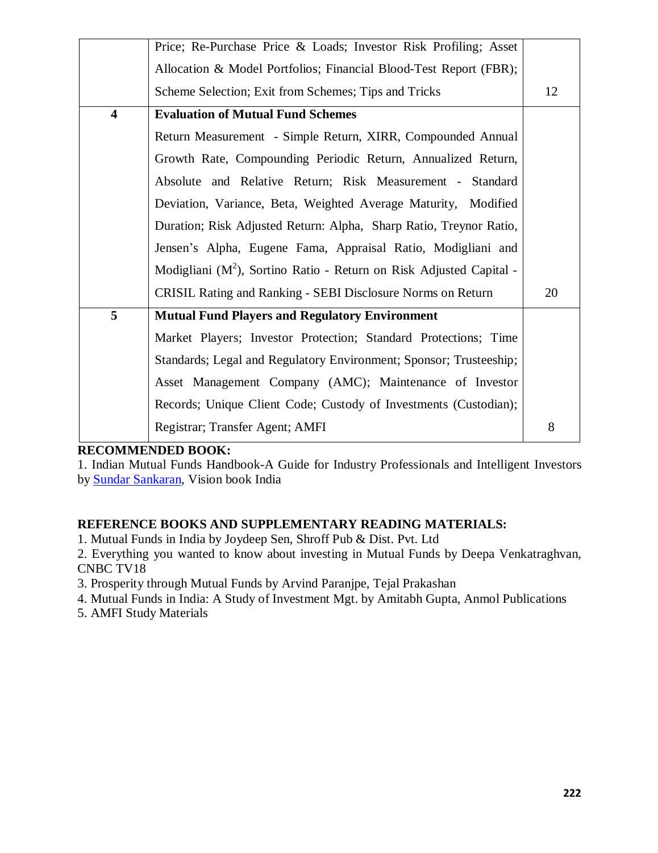|                         | Price; Re-Purchase Price & Loads; Investor Risk Profiling; Asset       |    |
|-------------------------|------------------------------------------------------------------------|----|
|                         | Allocation & Model Portfolios; Financial Blood-Test Report (FBR);      |    |
|                         | Scheme Selection; Exit from Schemes; Tips and Tricks                   | 12 |
| $\overline{\mathbf{4}}$ | <b>Evaluation of Mutual Fund Schemes</b>                               |    |
|                         | Return Measurement - Simple Return, XIRR, Compounded Annual            |    |
|                         | Growth Rate, Compounding Periodic Return, Annualized Return,           |    |
|                         | Absolute and Relative Return; Risk Measurement - Standard              |    |
|                         | Deviation, Variance, Beta, Weighted Average Maturity, Modified         |    |
|                         | Duration; Risk Adjusted Return: Alpha, Sharp Ratio, Treynor Ratio,     |    |
|                         | Jensen's Alpha, Eugene Fama, Appraisal Ratio, Modigliani and           |    |
|                         | Modigliani ( $M2$ ), Sortino Ratio - Return on Risk Adjusted Capital - |    |
|                         | CRISIL Rating and Ranking - SEBI Disclosure Norms on Return            | 20 |
| 5                       | <b>Mutual Fund Players and Regulatory Environment</b>                  |    |
|                         | Market Players; Investor Protection; Standard Protections; Time        |    |
|                         | Standards; Legal and Regulatory Environment; Sponsor; Trusteeship;     |    |
|                         | Asset Management Company (AMC); Maintenance of Investor                |    |
|                         | Records; Unique Client Code; Custody of Investments (Custodian);       |    |
|                         | Registrar; Transfer Agent; AMFI                                        | 8  |

# **RECOMMENDED BOOK:**

1. Indian Mutual Funds Handbook-A Guide for Industry Professionals and Intelligent Investors by Sundar Sankaran, Vision book India

# **REFERENCE BOOKS AND SUPPLEMENTARY READING MATERIALS:**

1. Mutual Funds in India by Joydeep Sen, Shroff Pub & Dist. Pvt. Ltd

2. Everything you wanted to know about investing in Mutual Funds by Deepa Venkatraghvan, CNBC TV18

3. Prosperity through Mutual Funds by Arvind Paranjpe, Tejal Prakashan

4. Mutual Funds in India: A Study of Investment Mgt. by Amitabh Gupta, Anmol Publications

5. AMFI Study Materials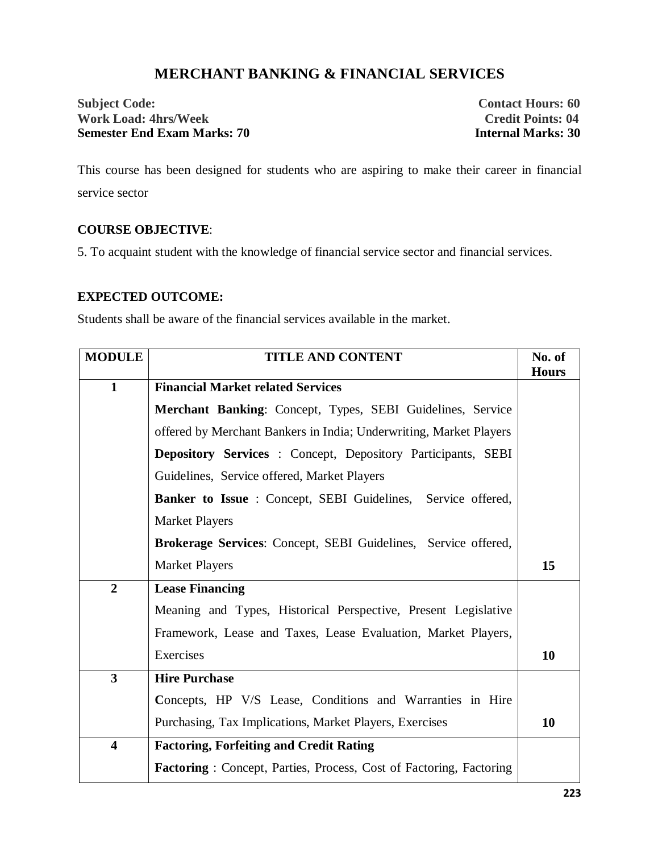# **MERCHANT BANKING & FINANCIAL SERVICES**

**Subject Code: Contact Hours: 60 Work Load: 4hrs/Week Credit Points: 04 Semester End Exam Marks: 70 Internal Marks: 30**

This course has been designed for students who are aspiring to make their career in financial service sector

# **COURSE OBJECTIVE**:

5. To acquaint student with the knowledge of financial service sector and financial services.

# **EXPECTED OUTCOME:**

Students shall be aware of the financial services available in the market.

| <b>MODULE</b>           | <b>TITLE AND CONTENT</b>                                           | No. of<br><b>Hours</b> |  |  |  |  |
|-------------------------|--------------------------------------------------------------------|------------------------|--|--|--|--|
| $\mathbf{1}$            | <b>Financial Market related Services</b>                           |                        |  |  |  |  |
|                         | Merchant Banking: Concept, Types, SEBI Guidelines, Service         |                        |  |  |  |  |
|                         | offered by Merchant Bankers in India; Underwriting, Market Players |                        |  |  |  |  |
|                         | Depository Services : Concept, Depository Participants, SEBI       |                        |  |  |  |  |
|                         | Guidelines, Service offered, Market Players                        |                        |  |  |  |  |
|                         | Banker to Issue : Concept, SEBI Guidelines, Service offered,       |                        |  |  |  |  |
|                         | <b>Market Players</b>                                              |                        |  |  |  |  |
|                         | Brokerage Services: Concept, SEBI Guidelines, Service offered,     |                        |  |  |  |  |
|                         | <b>Market Players</b>                                              | 15                     |  |  |  |  |
| $\overline{2}$          | <b>Lease Financing</b>                                             |                        |  |  |  |  |
|                         | Meaning and Types, Historical Perspective, Present Legislative     |                        |  |  |  |  |
|                         | Framework, Lease and Taxes, Lease Evaluation, Market Players,      |                        |  |  |  |  |
|                         | Exercises                                                          | 10                     |  |  |  |  |
| $\overline{\mathbf{3}}$ | <b>Hire Purchase</b>                                               |                        |  |  |  |  |
|                         | Concepts, HP V/S Lease, Conditions and Warranties in Hire          |                        |  |  |  |  |
|                         | Purchasing, Tax Implications, Market Players, Exercises            | 10                     |  |  |  |  |
| $\overline{\mathbf{4}}$ | <b>Factoring, Forfeiting and Credit Rating</b>                     |                        |  |  |  |  |
|                         | Factoring: Concept, Parties, Process, Cost of Factoring, Factoring |                        |  |  |  |  |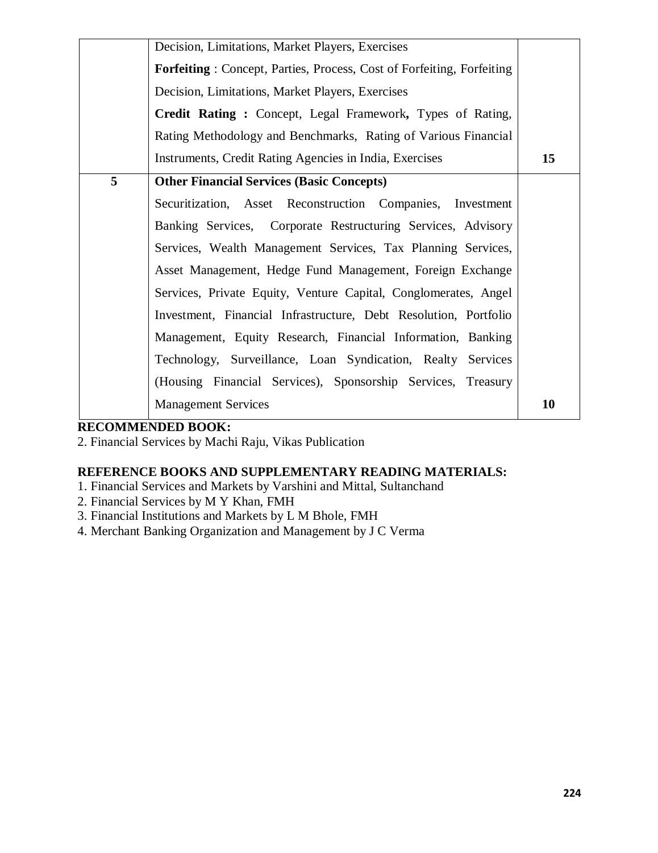|   | Decision, Limitations, Market Players, Exercises                             |    |
|---|------------------------------------------------------------------------------|----|
|   | <b>Forfeiting:</b> Concept, Parties, Process, Cost of Forfeiting, Forfeiting |    |
|   | Decision, Limitations, Market Players, Exercises                             |    |
|   | Credit Rating: Concept, Legal Framework, Types of Rating,                    |    |
|   | Rating Methodology and Benchmarks, Rating of Various Financial               |    |
|   | Instruments, Credit Rating Agencies in India, Exercises                      | 15 |
| 5 | <b>Other Financial Services (Basic Concepts)</b>                             |    |
|   | Securitization, Asset Reconstruction Companies, Investment                   |    |
|   | Banking Services, Corporate Restructuring Services, Advisory                 |    |
|   | Services, Wealth Management Services, Tax Planning Services,                 |    |
|   | Asset Management, Hedge Fund Management, Foreign Exchange                    |    |
|   | Services, Private Equity, Venture Capital, Conglomerates, Angel              |    |
|   | Investment, Financial Infrastructure, Debt Resolution, Portfolio             |    |
|   | Management, Equity Research, Financial Information, Banking                  |    |
|   | Technology, Surveillance, Loan Syndication, Realty Services                  |    |
|   | (Housing Financial Services), Sponsorship Services, Treasury                 |    |
|   | <b>Management Services</b>                                                   | 10 |

# **RECOMMENDED BOOK:**

2. Financial Services by Machi Raju, Vikas Publication

# **REFERENCE BOOKS AND SUPPLEMENTARY READING MATERIALS:**

- 1. Financial Services and Markets by Varshini and Mittal, Sultanchand
- 2. Financial Services by M Y Khan, FMH
- 3. Financial Institutions and Markets by L M Bhole, FMH
- 4. Merchant Banking Organization and Management by J C Verma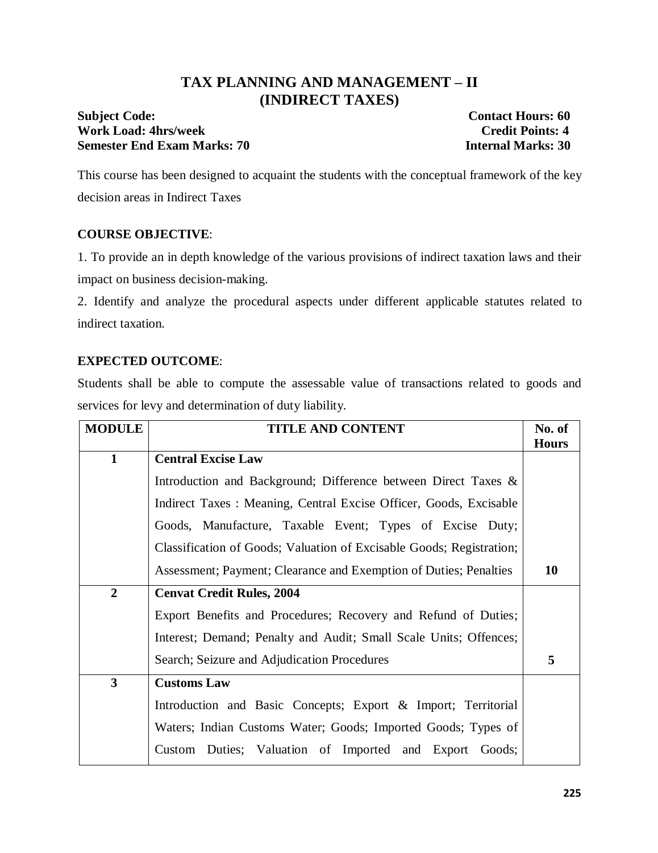# **TAX PLANNING AND MANAGEMENT – II (INDIRECT TAXES)**

# **Subject Code:** Contact Hours: 60 **Work Load: 4hrs/week Credit Points: 4 Semester End Exam Marks: 70 Internal Marks: 30**

This course has been designed to acquaint the students with the conceptual framework of the key decision areas in Indirect Taxes

# **COURSE OBJECTIVE**:

1. To provide an in depth knowledge of the various provisions of indirect taxation laws and their impact on business decision-making.

2. Identify and analyze the procedural aspects under different applicable statutes related to indirect taxation.

# **EXPECTED OUTCOME**:

Students shall be able to compute the assessable value of transactions related to goods and services for levy and determination of duty liability.

| <b>MODULE</b>           | <b>TITLE AND CONTENT</b>                                             |              |  |  |  |  |
|-------------------------|----------------------------------------------------------------------|--------------|--|--|--|--|
|                         |                                                                      | <b>Hours</b> |  |  |  |  |
| $\mathbf{1}$            | <b>Central Excise Law</b>                                            |              |  |  |  |  |
|                         | Introduction and Background; Difference between Direct Taxes &       |              |  |  |  |  |
|                         | Indirect Taxes: Meaning, Central Excise Officer, Goods, Excisable    |              |  |  |  |  |
|                         | Goods, Manufacture, Taxable Event; Types of Excise Duty;             |              |  |  |  |  |
|                         | Classification of Goods; Valuation of Excisable Goods; Registration; |              |  |  |  |  |
|                         | Assessment; Payment; Clearance and Exemption of Duties; Penalties    | 10           |  |  |  |  |
| $\overline{2}$          | <b>Cenvat Credit Rules, 2004</b>                                     |              |  |  |  |  |
|                         | Export Benefits and Procedures; Recovery and Refund of Duties;       |              |  |  |  |  |
|                         | Interest; Demand; Penalty and Audit; Small Scale Units; Offences;    |              |  |  |  |  |
|                         | Search; Seizure and Adjudication Procedures                          | 5            |  |  |  |  |
| $\overline{\mathbf{3}}$ | <b>Customs Law</b>                                                   |              |  |  |  |  |
|                         | Introduction and Basic Concepts; Export & Import; Territorial        |              |  |  |  |  |
|                         | Waters; Indian Customs Water; Goods; Imported Goods; Types of        |              |  |  |  |  |
|                         | Custom Duties; Valuation of Imported and Export Goods;               |              |  |  |  |  |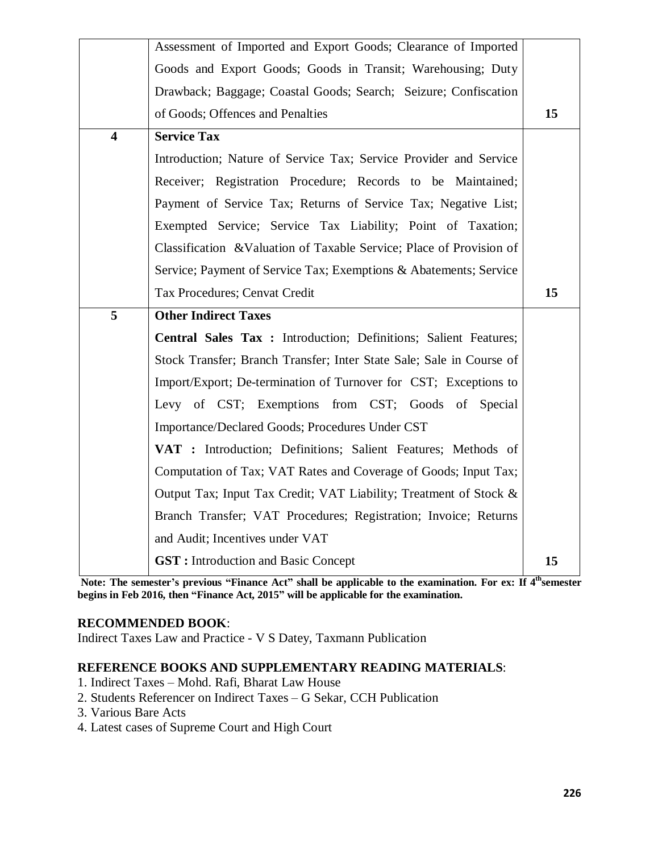|                         | Assessment of Imported and Export Goods; Clearance of Imported       |    |
|-------------------------|----------------------------------------------------------------------|----|
|                         | Goods and Export Goods; Goods in Transit; Warehousing; Duty          |    |
|                         | Drawback; Baggage; Coastal Goods; Search; Seizure; Confiscation      |    |
|                         | of Goods; Offences and Penalties                                     | 15 |
| $\overline{\mathbf{4}}$ | <b>Service Tax</b>                                                   |    |
|                         | Introduction; Nature of Service Tax; Service Provider and Service    |    |
|                         | Receiver; Registration Procedure; Records to be Maintained;          |    |
|                         | Payment of Service Tax; Returns of Service Tax; Negative List;       |    |
|                         | Exempted Service; Service Tax Liability; Point of Taxation;          |    |
|                         | Classification & Valuation of Taxable Service; Place of Provision of |    |
|                         | Service; Payment of Service Tax; Exemptions & Abatements; Service    |    |
|                         | Tax Procedures; Cenvat Credit                                        | 15 |
|                         |                                                                      |    |
| 5                       | <b>Other Indirect Taxes</b>                                          |    |
|                         | Central Sales Tax : Introduction; Definitions; Salient Features;     |    |
|                         | Stock Transfer; Branch Transfer; Inter State Sale; Sale in Course of |    |
|                         | Import/Export; De-termination of Turnover for CST; Exceptions to     |    |
|                         | Levy of CST; Exemptions from CST; Goods of Special                   |    |
|                         | Importance/Declared Goods; Procedures Under CST                      |    |
|                         | VAT : Introduction; Definitions; Salient Features; Methods of        |    |
|                         | Computation of Tax; VAT Rates and Coverage of Goods; Input Tax;      |    |
|                         | Output Tax; Input Tax Credit; VAT Liability; Treatment of Stock &    |    |
|                         | Branch Transfer; VAT Procedures; Registration; Invoice; Returns      |    |
|                         | and Audit; Incentives under VAT                                      |    |
|                         | <b>GST:</b> Introduction and Basic Concept                           | 15 |

**Note: The semester's previous "Finance Act" shall be applicable to the examination. For ex: If 4thsemester begins in Feb 2016, then "Finance Act, 2015" will be applicable for the examination.**

### **RECOMMENDED BOOK**:

Indirect Taxes Law and Practice - V S Datey, Taxmann Publication

### **REFERENCE BOOKS AND SUPPLEMENTARY READING MATERIALS**:

- 1. Indirect Taxes Mohd. Rafi, Bharat Law House
- 2. Students Referencer on Indirect Taxes G Sekar, CCH Publication
- 3. Various Bare Acts
- 4. Latest cases of Supreme Court and High Court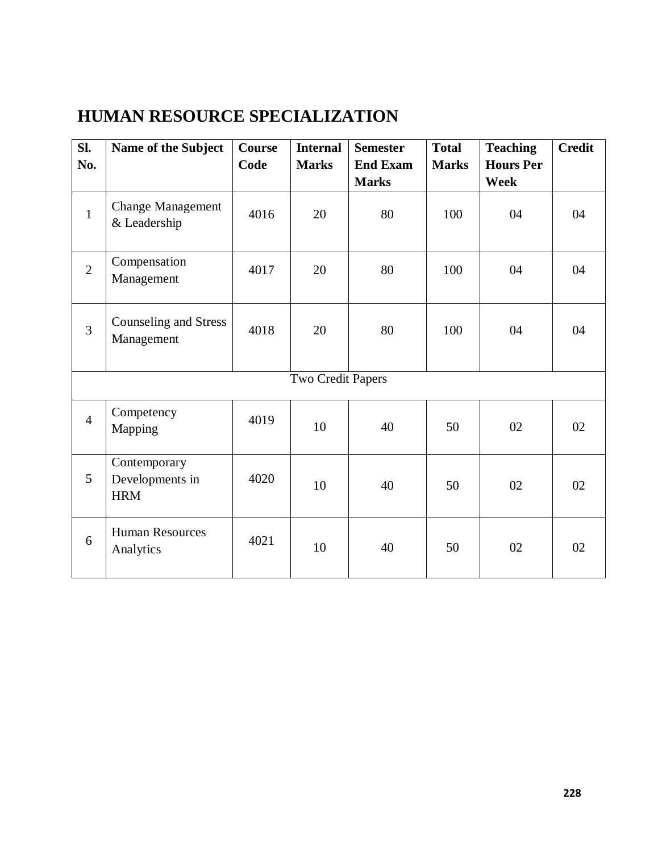# **HUMAN RESOURCE SPECIALIZATION**

| Sl.            | Name of the Subject                           | Course | <b>Internal</b>   | <b>Semester</b> | <b>Total</b> | <b>Teaching</b>  | <b>Credit</b> |
|----------------|-----------------------------------------------|--------|-------------------|-----------------|--------------|------------------|---------------|
| No.            |                                               | Code   | <b>Marks</b>      | <b>End Exam</b> | <b>Marks</b> | <b>Hours Per</b> |               |
|                |                                               |        |                   | <b>Marks</b>    |              | <b>Week</b>      |               |
| $\mathbf{1}$   | <b>Change Management</b><br>& Leadership      | 4016   | 20                | 80              | 100          | 04               | 04            |
| $\overline{2}$ | Compensation<br>Management                    | 4017   | 20                | 80              | 100          | 04               | 04            |
| $\overline{3}$ | Counseling and Stress<br>Management           | 4018   | 20                | 80              | 100          | 04               | 04            |
|                |                                               |        | Two Credit Papers |                 |              |                  |               |
| $\overline{4}$ | Competency<br>Mapping                         | 4019   | 10                | 40              | 50           | 02               | 02            |
| 5              | Contemporary<br>Developments in<br><b>HRM</b> | 4020   | 10                | 40              | 50           | 02               | 02            |
| 6              | <b>Human Resources</b><br>Analytics           | 4021   | 10                | 40              | 50           | 02               | 02            |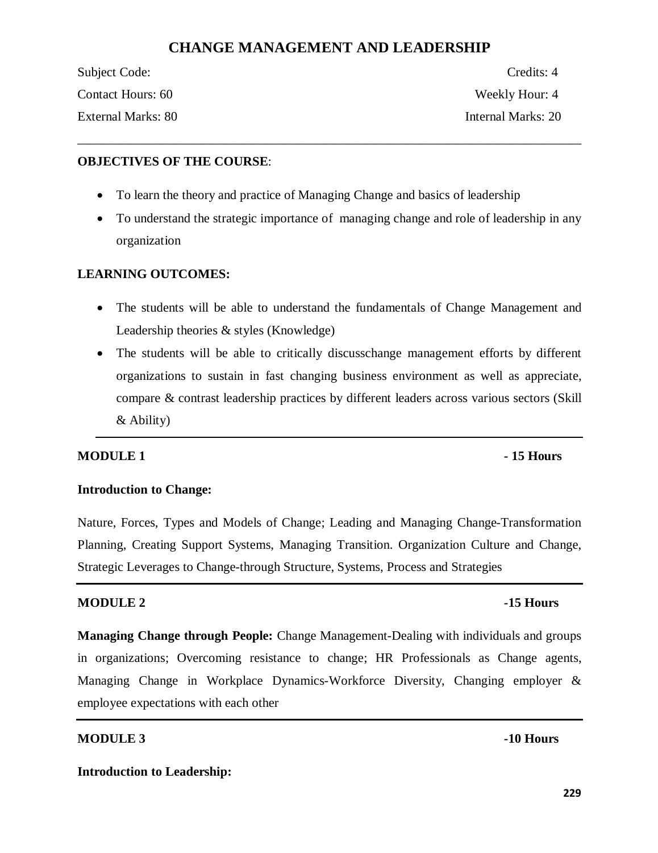# **CHANGE MANAGEMENT AND LEADERSHIP**

\_\_\_\_\_\_\_\_\_\_\_\_\_\_\_\_\_\_\_\_\_\_\_\_\_\_\_\_\_\_\_\_\_\_\_\_\_\_\_\_\_\_\_\_\_\_\_\_\_\_\_\_\_\_\_\_\_\_\_\_\_\_\_\_\_\_\_\_\_\_\_\_\_\_\_\_\_\_

| Subject Code:      | Credits: 4         |
|--------------------|--------------------|
| Contact Hours: 60  | Weekly Hour: 4     |
| External Marks: 80 | Internal Marks: 20 |

### **OBJECTIVES OF THE COURSE**:

- To learn the theory and practice of Managing Change and basics of leadership
- · To understand the strategic importance of managing change and role of leadership in any organization

# **LEARNING OUTCOMES:**

- · The students will be able to understand the fundamentals of Change Management and Leadership theories & styles (Knowledge)
- The students will be able to critically discusschange management efforts by different organizations to sustain in fast changing business environment as well as appreciate, compare & contrast leadership practices by different leaders across various sectors (Skill & Ability)

# **MODULE 1 Fig. 15 Hours**

# **Introduction to Change:**

Nature, Forces, Types and Models of Change; Leading and Managing Change-Transformation Planning, Creating Support Systems, Managing Transition. Organization Culture and Change, Strategic Leverages to Change-through Structure, Systems, Process and Strategies

### **MODULE 2** -15 Hours

**Managing Change through People:** Change Management-Dealing with individuals and groups in organizations; Overcoming resistance to change; HR Professionals as Change agents, Managing Change in Workplace Dynamics-Workforce Diversity, Changing employer & employee expectations with each other

### **MODULE 3** -10 Hours

### **Introduction to Leadership:**

**229**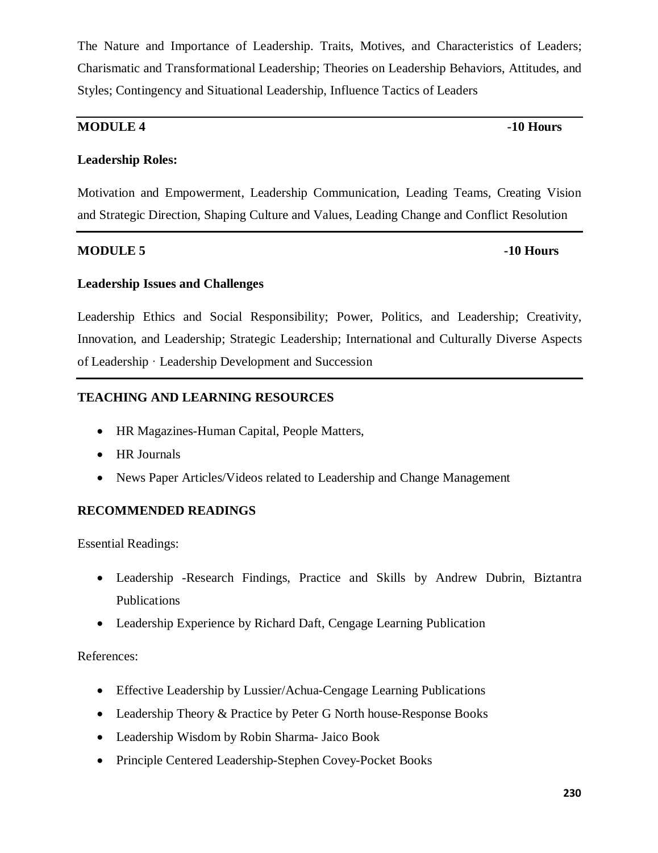The Nature and Importance of Leadership. Traits, Motives, and Characteristics of Leaders; Charismatic and Transformational Leadership; Theories on Leadership Behaviors, Attitudes, and Styles; Contingency and Situational Leadership, Influence Tactics of Leaders

# **MODULE 4 -10 Hours**

# **Leadership Roles:**

Motivation and Empowerment, Leadership Communication, Leading Teams, Creating Vision and Strategic Direction, Shaping Culture and Values, Leading Change and Conflict Resolution

### **MODULE 5 -10 Hours**

### **Leadership Issues and Challenges**

Leadership Ethics and Social Responsibility; Power, Politics, and Leadership; Creativity, Innovation, and Leadership; Strategic Leadership; International and Culturally Diverse Aspects of Leadership · Leadership Development and Succession

# **TEACHING AND LEARNING RESOURCES**

- · HR Magazines-Human Capital, People Matters,
- · HR Journals
- · News Paper Articles/Videos related to Leadership and Change Management

### **RECOMMENDED READINGS**

Essential Readings:

- · Leadership -Research Findings, Practice and Skills by Andrew Dubrin, Biztantra Publications
- Leadership Experience by Richard Daft, Cengage Learning Publication

References:

- Effective Leadership by Lussier/Achua-Cengage Learning Publications
- Leadership Theory & Practice by Peter G North house-Response Books
- · Leadership Wisdom by Robin Sharma- Jaico Book
- · Principle Centered Leadership-Stephen Covey-Pocket Books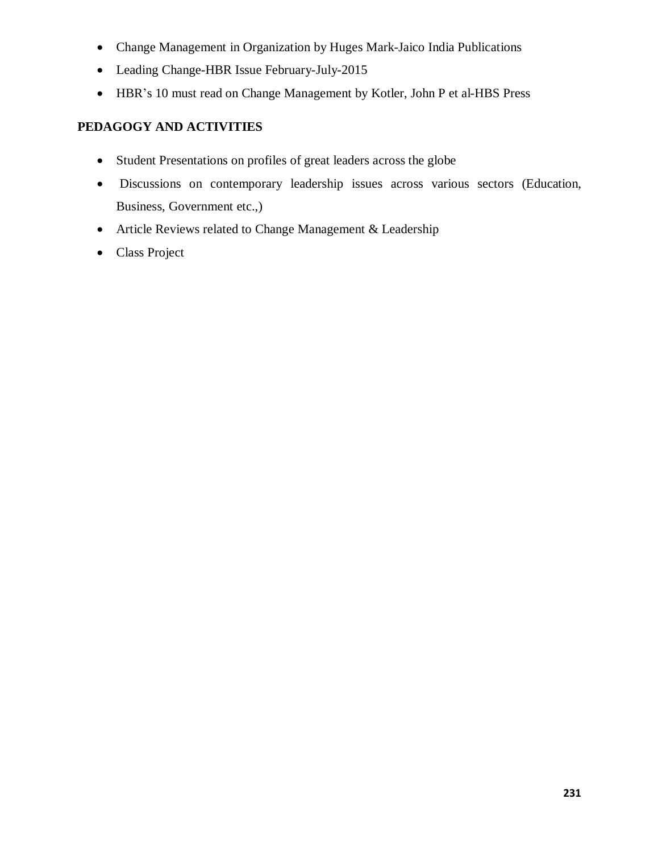- · Change Management in Organization by Huges Mark-Jaico India Publications
- · Leading Change-HBR Issue February-July-2015
- · HBR's 10 must read on Change Management by Kotler, John P et al-HBS Press

# **PEDAGOGY AND ACTIVITIES**

- · Student Presentations on profiles of great leaders across the globe
- · Discussions on contemporary leadership issues across various sectors (Education, Business, Government etc.,)
- Article Reviews related to Change Management & Leadership
- Class Project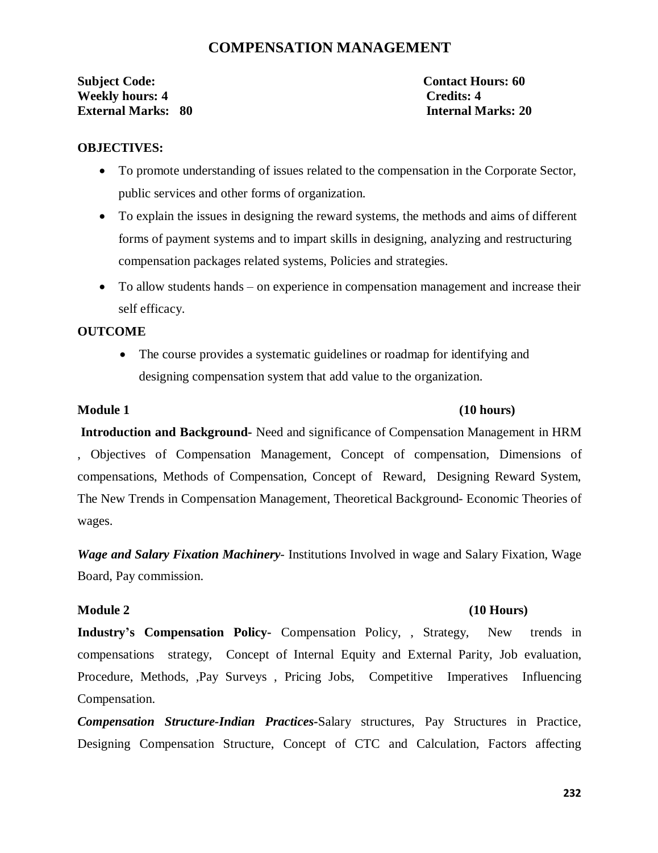# **COMPENSATION MANAGEMENT**

**Subject Code: Contact Hours: 60 Weekly hours: 4 Credits: 4 External Marks: 80 Internal Marks: 20**

### **OBJECTIVES:**

- · To promote understanding of issues related to the compensation in the Corporate Sector, public services and other forms of organization.
- · To explain the issues in designing the reward systems, the methods and aims of different forms of payment systems and to impart skills in designing, analyzing and restructuring compensation packages related systems, Policies and strategies.
- To allow students hands on experience in compensation management and increase their self efficacy.

### **OUTCOME**

• The course provides a systematic guidelines or roadmap for identifying and designing compensation system that add value to the organization.

### **Module 1 (10 hours)**

**Introduction and Background-** Need and significance of Compensation Management in HRM , Objectives of Compensation Management, Concept of compensation, Dimensions of compensations, Methods of Compensation, Concept of Reward, Designing Reward System, The New Trends in Compensation Management, Theoretical Background- Economic Theories of wages.

*Wage and Salary Fixation Machinery*- Institutions Involved in wage and Salary Fixation, Wage Board, Pay commission.

### **Module 2 (10 Hours)**

**Industry's Compensation Policy-** Compensation Policy, , Strategy, New trends in compensations strategy, Concept of Internal Equity and External Parity, Job evaluation, Procedure, Methods, ,Pay Surveys , Pricing Jobs, Competitive Imperatives Influencing Compensation.

*Compensation Structure-Indian Practices***-**Salary structures, Pay Structures in Practice, Designing Compensation Structure, Concept of CTC and Calculation, Factors affecting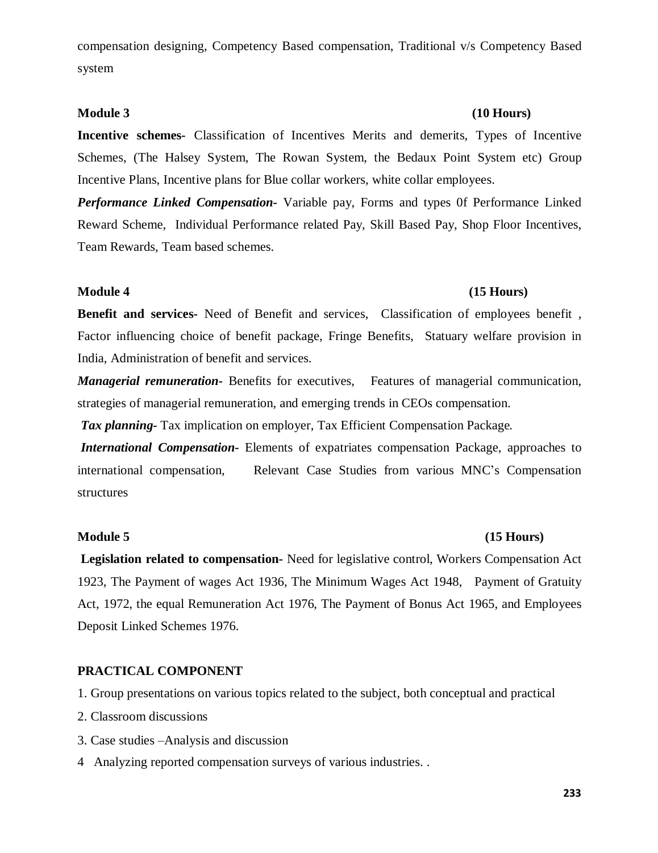compensation designing, Competency Based compensation, Traditional v/s Competency Based system

**Incentive schemes-** Classification of Incentives Merits and demerits, Types of Incentive Schemes, (The Halsey System, The Rowan System, the Bedaux Point System etc) Group Incentive Plans, Incentive plans for Blue collar workers, white collar employees.

*Performance Linked Compensation-* Variable pay, Forms and types 0f Performance Linked Reward Scheme, Individual Performance related Pay, Skill Based Pay, Shop Floor Incentives, Team Rewards, Team based schemes.

### **Module 4 (15 Hours)**

**Benefit and services-** Need of Benefit and services, Classification of employees benefit , Factor influencing choice of benefit package, Fringe Benefits, Statuary welfare provision in India, Administration of benefit and services.

*Managerial remuneration***-** Benefits for executives, Features of managerial communication, strategies of managerial remuneration, and emerging trends in CEOs compensation.

*Tax planning***-** Tax implication on employer, Tax Efficient Compensation Package*.* 

*International Compensation-* Elements of expatriates compensation Package, approaches to international compensation, Relevant Case Studies from various MNC's Compensation structures

### **Module 5 (15 Hours)**

**Legislation related to compensation-** Need for legislative control, Workers Compensation Act 1923, The Payment of wages Act 1936, The Minimum Wages Act 1948, Payment of Gratuity Act, 1972, the equal Remuneration Act 1976, The Payment of Bonus Act 1965, and Employees Deposit Linked Schemes 1976.

### **PRACTICAL COMPONENT**

1. Group presentations on various topics related to the subject, both conceptual and practical

- 2. Classroom discussions
- 3. Case studies –Analysis and discussion
- 4 Analyzing reported compensation surveys of various industries. .

### **Module 3 (10 Hours)**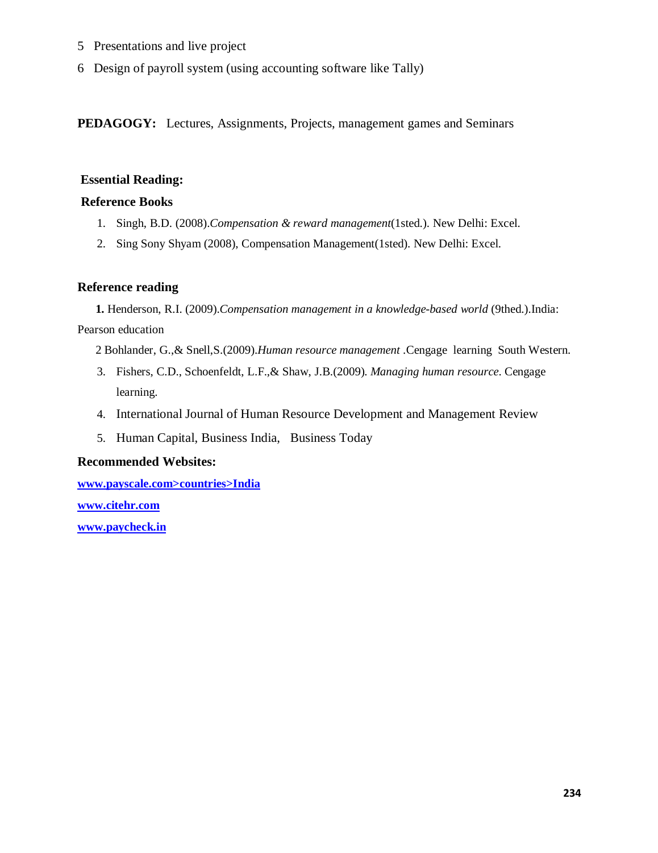- 5 Presentations and live project
- 6 Design of payroll system (using accounting software like Tally)

**PEDAGOGY:** Lectures, Assignments, Projects, management games and Seminars

### **Essential Reading:**

### **Reference Books**

- 1. Singh, B.D. (2008).*Compensation & reward management*(1sted.). New Delhi: Excel.
- 2. Sing Sony Shyam (2008), Compensation Management(1sted). New Delhi: Excel.

### **Reference reading**

**1.** Henderson, R.I. (2009).*Compensation management in a knowledge-based world* (9thed.).India: Pearson education

2 Bohlander, G.,& Snell,S.(2009).*Human resource management .*Cengage learning South Western.

- 3. Fishers, C.D., Schoenfeldt, L.F.,& Shaw, J.B.(2009). *Managing human resource*. Cengage learning.
- 4. International Journal of Human Resource Development and Management Review
- 5. Human Capital, Business India, Business Today

### **Recommended Websites:**

**www.payscale.com>countries>India**

**www.citehr.com**

**www.paycheck.in**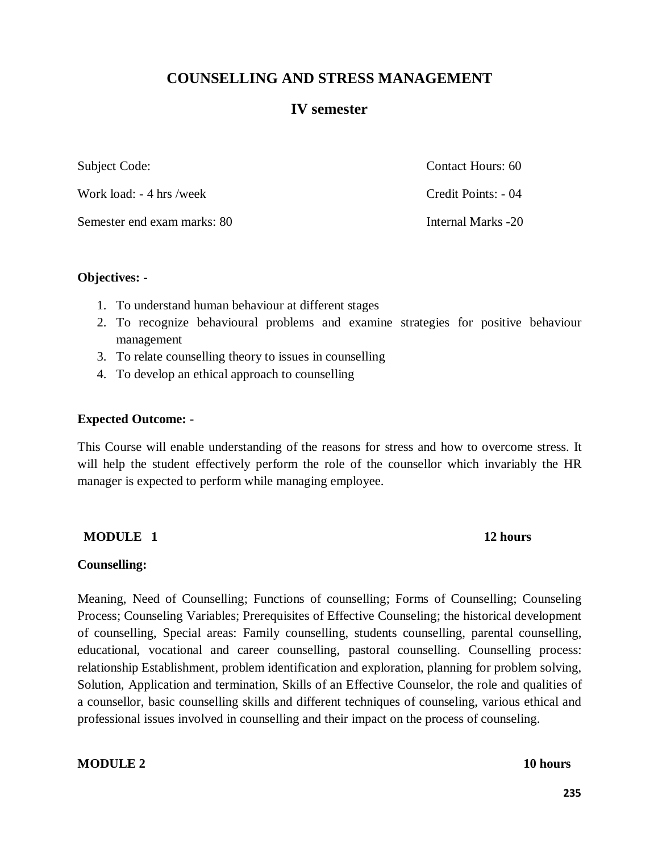# **COUNSELLING AND STRESS MANAGEMENT**

# **IV semester**

| Subject Code:               | Contact Hours: 60   |
|-----------------------------|---------------------|
| Work load: - 4 hrs /week    | Credit Points: - 04 |
| Semester end exam marks: 80 | Internal Marks -20  |

### **Objectives: -**

- 1. To understand human behaviour at different stages
- 2. To recognize behavioural problems and examine strategies for positive behaviour management
- 3. To relate counselling theory to issues in counselling
- 4. To develop an ethical approach to counselling

### **Expected Outcome: -**

This Course will enable understanding of the reasons for stress and how to overcome stress. It will help the student effectively perform the role of the counsellor which invariably the HR manager is expected to perform while managing employee.

### **MODULE** 1 12 hours

### **Counselling:**

Meaning, Need of Counselling; Functions of counselling; Forms of Counselling; Counseling Process; Counseling Variables; Prerequisites of Effective Counseling; the historical development of counselling, Special areas: Family counselling, students counselling, parental counselling, educational, vocational and career counselling, pastoral counselling. Counselling process: relationship Establishment, problem identification and exploration, planning for problem solving, Solution, Application and termination, Skills of an Effective Counselor, the role and qualities of a counsellor, basic counselling skills and different techniques of counseling, various ethical and professional issues involved in counselling and their impact on the process of counseling.

### **MODULE 2** 10 hours

**235**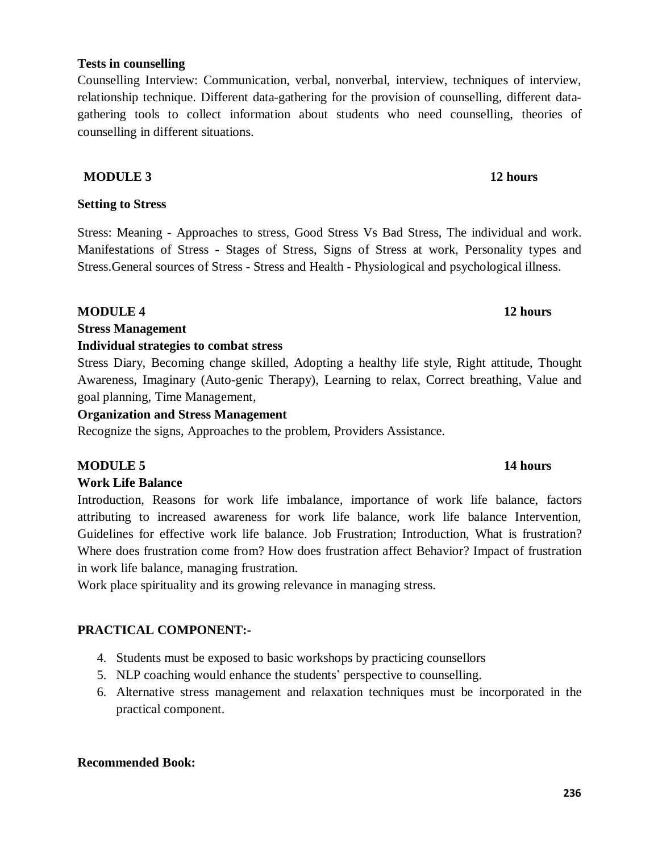### **Tests in counselling**

Counselling Interview: Communication, verbal, nonverbal, interview, techniques of interview, relationship technique. Different data-gathering for the provision of counselling, different datagathering tools to collect information about students who need counselling, theories of counselling in different situations.

# **MODULE 3** 12 hours

### **Setting to Stress**

Stress: Meaning - Approaches to stress, Good Stress Vs Bad Stress, The individual and work. Manifestations of Stress - Stages of Stress, Signs of Stress at work, Personality types and Stress.General sources of Stress - Stress and Health - Physiological and psychological illness.

### **MODULE 4 12 hours**

### **Stress Management**

### **Individual strategies to combat stress**

Stress Diary, Becoming change skilled, Adopting a healthy life style, Right attitude, Thought Awareness, Imaginary (Auto-genic Therapy), Learning to relax, Correct breathing, Value and goal planning, Time Management,

### **Organization and Stress Management**

Recognize the signs, Approaches to the problem, Providers Assistance.

# **MODULE 5 14 hours**

# **Work Life Balance**

Introduction, Reasons for work life imbalance, importance of work life balance, factors attributing to increased awareness for work life balance, work life balance Intervention, Guidelines for effective work life balance. Job Frustration; Introduction, What is frustration? Where does frustration come from? How does frustration affect Behavior? Impact of frustration in work life balance, managing frustration.

Work place spirituality and its growing relevance in managing stress.

# **PRACTICAL COMPONENT:-**

- 4. Students must be exposed to basic workshops by practicing counsellors
- 5. NLP coaching would enhance the students' perspective to counselling.
- 6. Alternative stress management and relaxation techniques must be incorporated in the practical component.

# **Recommended Book:**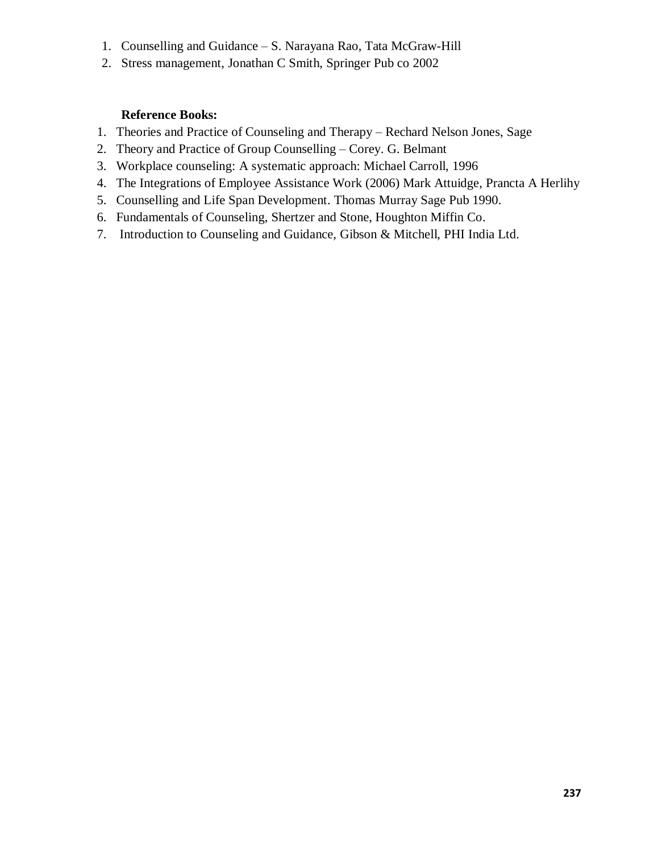- 1. Counselling and Guidance S. Narayana Rao, Tata McGraw-Hill
- 2. Stress management, Jonathan C Smith, Springer Pub co 2002

# **Reference Books:**

- 1. Theories and Practice of Counseling and Therapy Rechard Nelson Jones, Sage
- 2. Theory and Practice of Group Counselling Corey. G. Belmant
- 3. Workplace counseling: A systematic approach: Michael Carroll, 1996
- 4. The Integrations of Employee Assistance Work (2006) Mark Attuidge, Prancta A Herlihy
- 5. Counselling and Life Span Development. Thomas Murray Sage Pub 1990.
- 6. Fundamentals of Counseling, Shertzer and Stone, Houghton Miffin Co.
- 7. Introduction to Counseling and Guidance, Gibson & Mitchell, PHI India Ltd.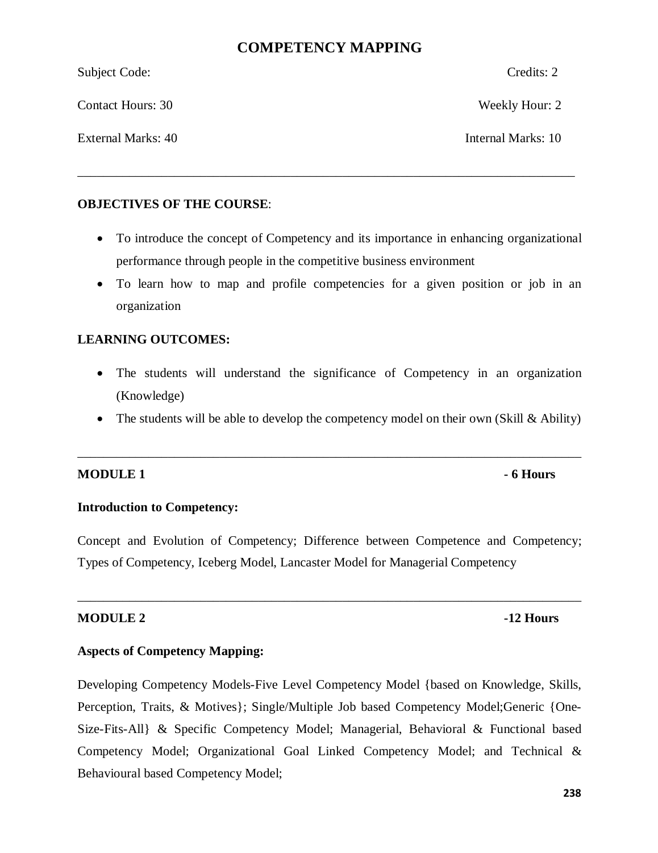# **COMPETENCY MAPPING**

| <b>OBJECTIVES OF THE COURSE:</b> |                    |
|----------------------------------|--------------------|
| External Marks: 40               | Internal Marks: 10 |
| <b>Contact Hours: 30</b>         | Weekly Hour: 2     |
| Subject Code:                    | Credits: 2         |

- To introduce the concept of Competency and its importance in enhancing organizational performance through people in the competitive business environment
- · To learn how to map and profile competencies for a given position or job in an organization

# **LEARNING OUTCOMES:**

- · The students will understand the significance of Competency in an organization (Knowledge)
- The students will be able to develop the competency model on their own (Skill & Ability)

\_\_\_\_\_\_\_\_\_\_\_\_\_\_\_\_\_\_\_\_\_\_\_\_\_\_\_\_\_\_\_\_\_\_\_\_\_\_\_\_\_\_\_\_\_\_\_\_\_\_\_\_\_\_\_\_\_\_\_\_\_\_\_\_\_\_\_\_\_\_\_\_\_\_\_\_\_\_

# **MODULE 1 Fig. 1 - 6 Hours**

# **Introduction to Competency:**

Concept and Evolution of Competency; Difference between Competence and Competency; Types of Competency, Iceberg Model, Lancaster Model for Managerial Competency

\_\_\_\_\_\_\_\_\_\_\_\_\_\_\_\_\_\_\_\_\_\_\_\_\_\_\_\_\_\_\_\_\_\_\_\_\_\_\_\_\_\_\_\_\_\_\_\_\_\_\_\_\_\_\_\_\_\_\_\_\_\_\_\_\_\_\_\_\_\_\_\_\_\_\_\_\_\_

### **MODULE 2** -12 Hours

# **Aspects of Competency Mapping:**

Developing Competency Models-Five Level Competency Model {based on Knowledge, Skills, Perception, Traits, & Motives}; Single/Multiple Job based Competency Model;Generic {One-Size-Fits-All} & Specific Competency Model; Managerial, Behavioral & Functional based Competency Model; Organizational Goal Linked Competency Model; and Technical & Behavioural based Competency Model;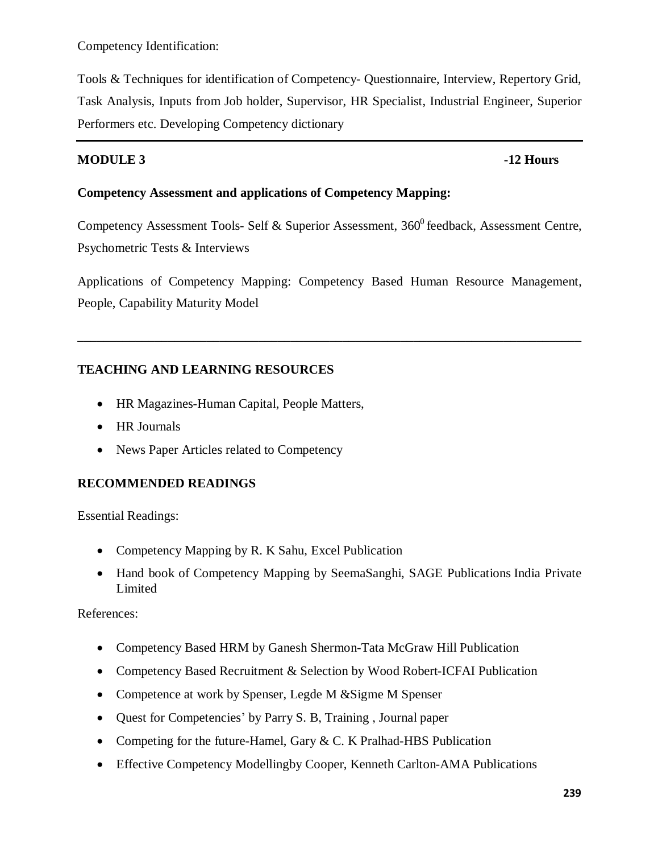Competency Identification:

Tools & Techniques for identification of Competency- Questionnaire, Interview, Repertory Grid, Task Analysis, Inputs from Job holder, Supervisor, HR Specialist, Industrial Engineer, Superior Performers etc. Developing Competency dictionary

# **MODULE 3** -12 Hours

# **Competency Assessment and applications of Competency Mapping:**

Competency Assessment Tools- Self & Superior Assessment,  $360^{\circ}$  feedback, Assessment Centre, Psychometric Tests & Interviews

Applications of Competency Mapping: Competency Based Human Resource Management, People, Capability Maturity Model

\_\_\_\_\_\_\_\_\_\_\_\_\_\_\_\_\_\_\_\_\_\_\_\_\_\_\_\_\_\_\_\_\_\_\_\_\_\_\_\_\_\_\_\_\_\_\_\_\_\_\_\_\_\_\_\_\_\_\_\_\_\_\_\_\_\_\_\_\_\_\_\_\_\_\_\_\_\_

# **TEACHING AND LEARNING RESOURCES**

- · HR Magazines-Human Capital, People Matters,
- · HR Journals
- News Paper Articles related to Competency

# **RECOMMENDED READINGS**

Essential Readings:

- Competency Mapping by R. K Sahu, Excel Publication
- · Hand book of Competency Mapping by SeemaSanghi, SAGE Publications India Private Limited

References:

- Competency Based HRM by Ganesh Shermon-Tata McGraw Hill Publication
- Competency Based Recruitment & Selection by Wood Robert-ICFAI Publication
- Competence at work by Spenser, Legde M & Sigme M Spenser
- · Quest for Competencies' by Parry S. B, Training , Journal paper
- Competing for the future-Hamel, Gary & C. K Pralhad-HBS Publication
- Effective Competency Modellingby Cooper, Kenneth Carlton-AMA Publications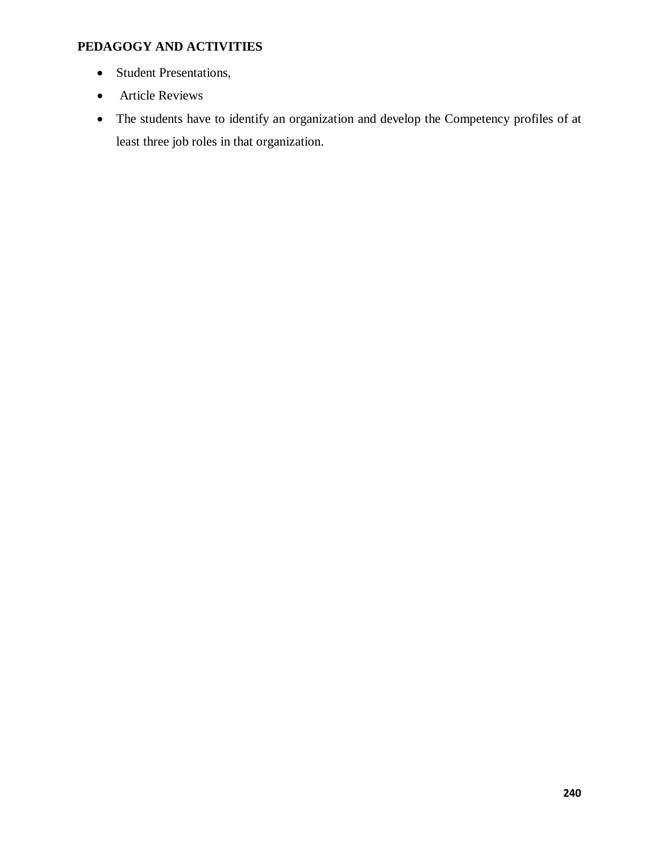# **PEDAGOGY AND ACTIVITIES**

- Student Presentations,
- Article Reviews
- · The students have to identify an organization and develop the Competency profiles of at least three job roles in that organization.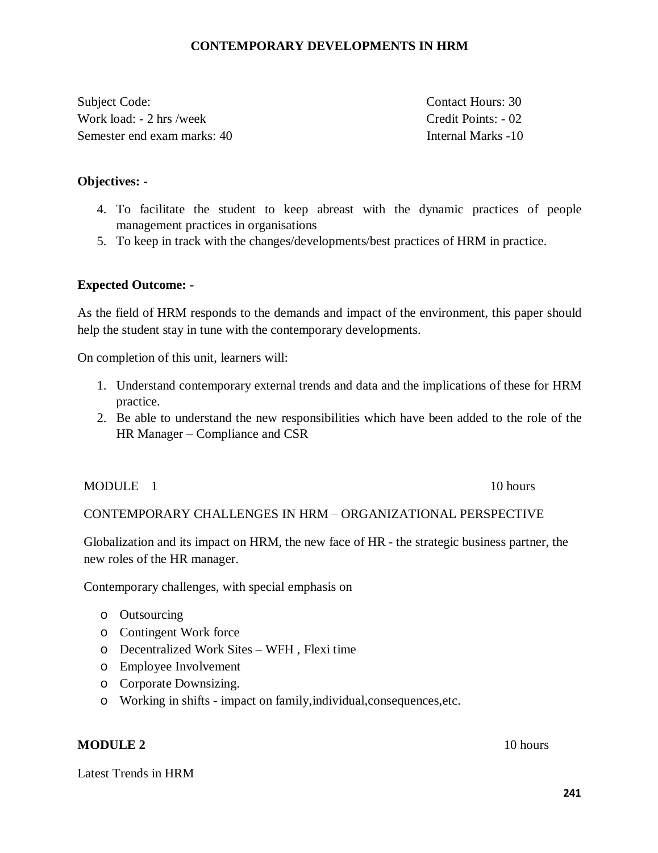# **CONTEMPORARY DEVELOPMENTS IN HRM**

Subject Code: Contact Hours: 30 Work load: - 2 hrs /week Credit Points: - 02 Semester end exam marks: 40 Internal Marks -10

### **Objectives: -**

- 4. To facilitate the student to keep abreast with the dynamic practices of people management practices in organisations
- 5. To keep in track with the changes/developments/best practices of HRM in practice.

### **Expected Outcome: -**

As the field of HRM responds to the demands and impact of the environment, this paper should help the student stay in tune with the contemporary developments.

On completion of this unit, learners will:

- 1. Understand contemporary external trends and data and the implications of these for HRM practice.
- 2. Be able to understand the new responsibilities which have been added to the role of the HR Manager – Compliance and CSR

### MODULE 1 10 hours

# CONTEMPORARY CHALLENGES IN HRM – ORGANIZATIONAL PERSPECTIVE

Globalization and its impact on HRM, the new face of HR - the strategic business partner, the new roles of the HR manager.

Contemporary challenges, with special emphasis on

- o Outsourcing
- o Contingent Work force
- o Decentralized Work Sites WFH , Flexi time
- o Employee Involvement
- o Corporate Downsizing.
- o Working in shifts impact on family,individual,consequences,etc.

### **MODULE 2** 10 hours

Latest Trends in HRM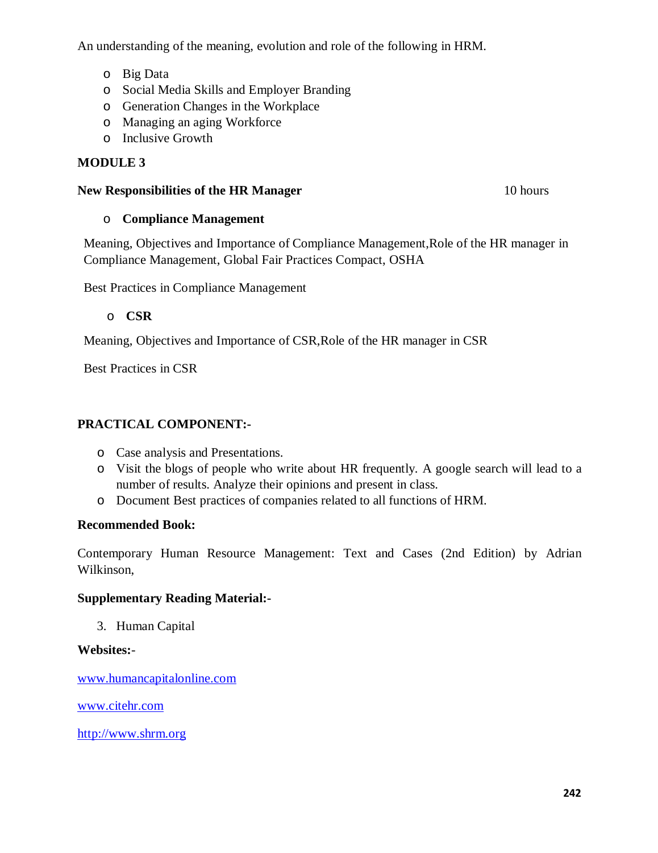An understanding of the meaning, evolution and role of the following in HRM.

- o Big Data
- o Social Media Skills and Employer Branding
- o Generation Changes in the Workplace
- o Managing an aging Workforce
- o Inclusive Growth

# **MODULE 3**

# **New Responsibilities of the HR Manager** 10 hours

# o **Compliance Management**

Meaning, Objectives and Importance of Compliance Management,Role of the HR manager in Compliance Management, Global Fair Practices Compact, OSHA

Best Practices in Compliance Management

# o **CSR**

Meaning, Objectives and Importance of CSR,Role of the HR manager in CSR

Best Practices in CSR

# **PRACTICAL COMPONENT:-**

- o Case analysis and Presentations.
- o Visit the blogs of people who write about HR frequently. A google search will lead to a number of results. Analyze their opinions and present in class.
- o Document Best practices of companies related to all functions of HRM.

# **Recommended Book:**

Contemporary Human Resource Management: Text and Cases (2nd Edition) by Adrian Wilkinson,

# **Supplementary Reading Material:-**

3. Human Capital

# **Websites:**-

www.humancapitalonline.com

www.citehr.com

http://www.shrm.org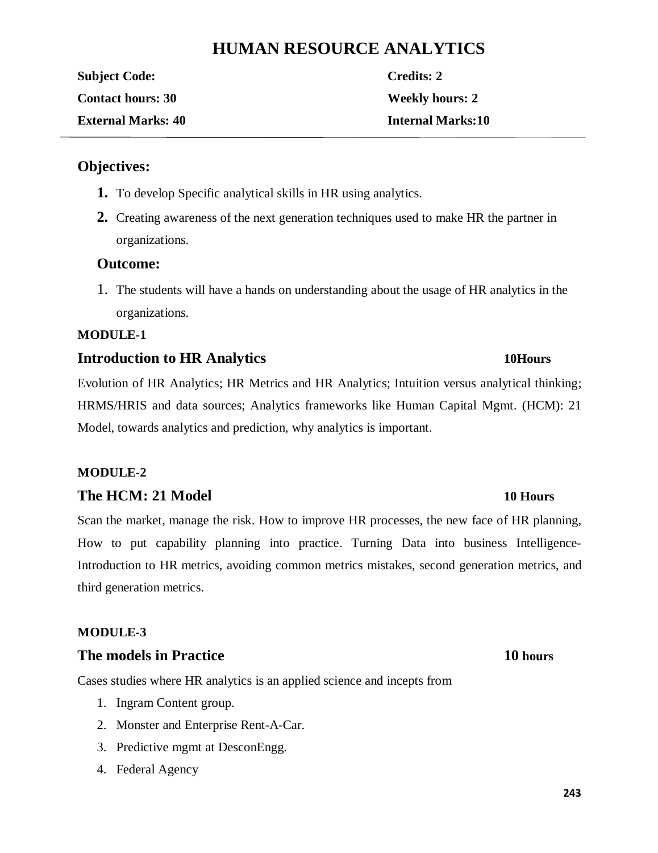# **HUMAN RESOURCE ANALYTICS**

**Subject Code: Credits: 2 Contact hours: 30 Weekly hours: 2 External Marks: 40 Internal Marks:10**

# **Objectives:**

- **1.** To develop Specific analytical skills in HR using analytics.
- **2.** Creating awareness of the next generation techniques used to make HR the partner in organizations.

# **Outcome:**

1. The students will have a hands on understanding about the usage of HR analytics in the organizations.

# **MODULE-1**

# **Introduction to HR Analytics 10Hours**

Evolution of HR Analytics; HR Metrics and HR Analytics; Intuition versus analytical thinking; HRMS/HRIS and data sources; Analytics frameworks like Human Capital Mgmt. (HCM): 21 Model, towards analytics and prediction, why analytics is important.

# **MODULE-2**

# **The HCM: 21 Model 10 Hours**

Scan the market, manage the risk. How to improve HR processes, the new face of HR planning, How to put capability planning into practice. Turning Data into business Intelligence-Introduction to HR metrics, avoiding common metrics mistakes, second generation metrics, and third generation metrics.

# **MODULE-3**

# **The models in Practice 10 hours**

Cases studies where HR analytics is an applied science and incepts from

- 1. Ingram Content group.
- 2. Monster and Enterprise Rent-A-Car.
- 3. Predictive mgmt at DesconEngg.
- 4. Federal Agency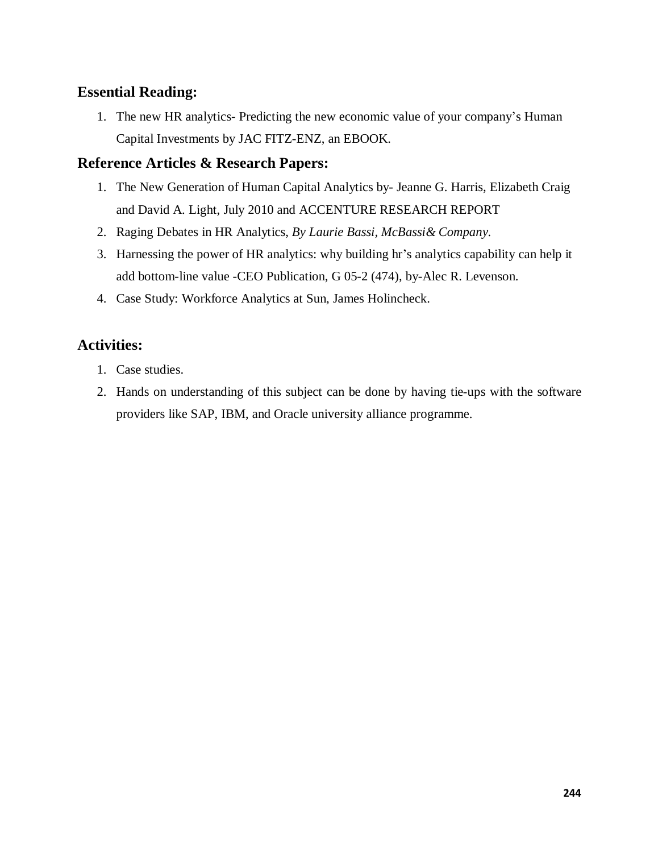# **Essential Reading:**

1. The new HR analytics- Predicting the new economic value of your company's Human Capital Investments by JAC FITZ-ENZ, an EBOOK.

# **Reference Articles & Research Papers:**

- 1. The New Generation of Human Capital Analytics by- Jeanne G. Harris, Elizabeth Craig and David A. Light, July 2010 and ACCENTURE RESEARCH REPORT
- 2. Raging Debates in HR Analytics, *By Laurie Bassi, McBassi& Company.*
- 3. Harnessing the power of HR analytics: why building hr's analytics capability can help it add bottom-line value -CEO Publication, G 05-2 (474), by-Alec R. Levenson.
- 4. Case Study: Workforce Analytics at Sun, James Holincheck.

# **Activities:**

- 1. Case studies.
- 2. Hands on understanding of this subject can be done by having tie-ups with the software providers like SAP, IBM, and Oracle university alliance programme.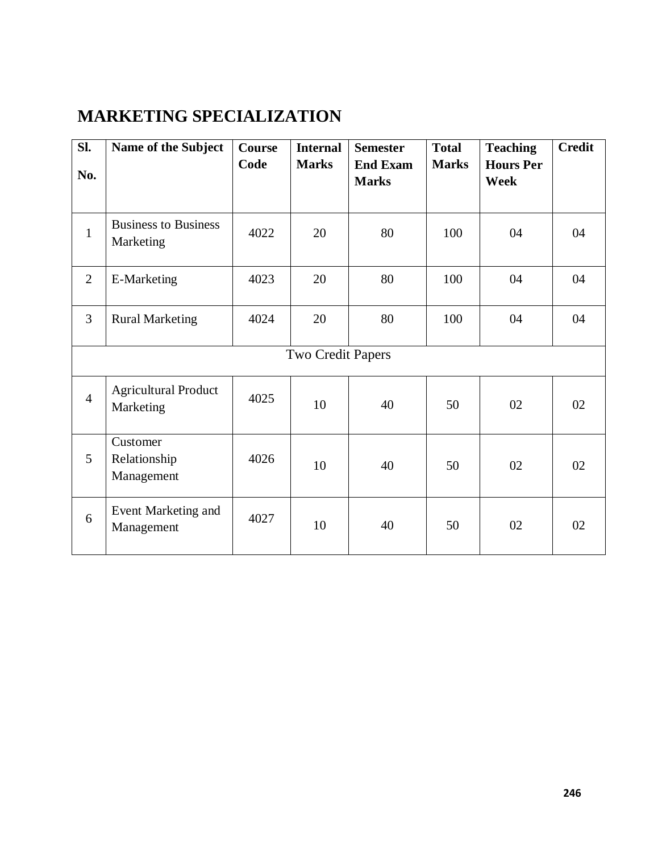# **MARKETING SPECIALIZATION**

| SI.            | Name of the Subject                      | <b>Course</b> | <b>Internal</b>   | <b>Semester</b>                 | <b>Total</b> | <b>Teaching</b>                 | <b>Credit</b> |
|----------------|------------------------------------------|---------------|-------------------|---------------------------------|--------------|---------------------------------|---------------|
| No.            |                                          | Code          | <b>Marks</b>      | <b>End Exam</b><br><b>Marks</b> | <b>Marks</b> | <b>Hours Per</b><br><b>Week</b> |               |
| $\mathbf{1}$   | <b>Business to Business</b><br>Marketing | 4022          | 20                | 80                              | 100          | 04                              | 04            |
| 2              | E-Marketing                              | 4023          | 20                | 80                              | 100          | 04                              | 04            |
| $\overline{3}$ | <b>Rural Marketing</b>                   | 4024          | 20                | 80                              | 100          | 04                              | 04            |
|                |                                          |               | Two Credit Papers |                                 |              |                                 |               |
| $\overline{4}$ | <b>Agricultural Product</b><br>Marketing | 4025          | 10                | 40                              | 50           | 02                              | 02            |
| 5              | Customer<br>Relationship<br>Management   | 4026          | 10                | 40                              | 50           | 02                              | 02            |
| 6              | Event Marketing and<br>Management        | 4027          | 10                | 40                              | 50           | 02                              | 02            |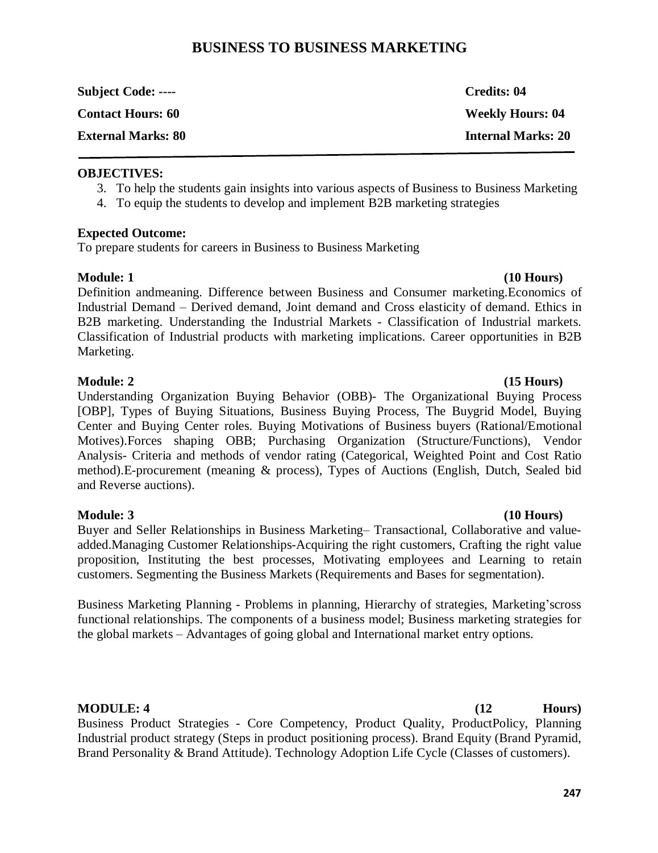# **BUSINESS TO BUSINESS MARKETING**

| <b>Subject Code: ----</b> | Credits: 04               |
|---------------------------|---------------------------|
| <b>Contact Hours: 60</b>  | <b>Weekly Hours: 04</b>   |
| <b>External Marks: 80</b> | <b>Internal Marks: 20</b> |

### **OBJECTIVES:**

- 3. To help the students gain insights into various aspects of Business to Business Marketing
- 4. To equip the students to develop and implement B2B marketing strategies

### **Expected Outcome:**

To prepare students for careers in Business to Business Marketing

### **Module: 1 (10 Hours)**

Definition andmeaning. Difference between Business and Consumer marketing.Economics of Industrial Demand – Derived demand, Joint demand and Cross elasticity of demand. Ethics in B2B marketing. Understanding the Industrial Markets - Classification of Industrial markets. Classification of Industrial products with marketing implications. Career opportunities in B2B Marketing.

### **Module: 2** (15 Hours)

Understanding Organization Buying Behavior (OBB)- The Organizational Buying Process [OBP], Types of Buying Situations, Business Buying Process, The Buygrid Model, Buying Center and Buying Center roles. Buying Motivations of Business buyers (Rational/Emotional Motives).Forces shaping OBB; Purchasing Organization (Structure/Functions), Vendor Analysis- Criteria and methods of vendor rating (Categorical, Weighted Point and Cost Ratio method).E-procurement (meaning & process), Types of Auctions (English, Dutch, Sealed bid and Reverse auctions).

**Module: 3 (10 Hours)** Buyer and Seller Relationships in Business Marketing– Transactional, Collaborative and valueadded.Managing Customer Relationships-Acquiring the right customers, Crafting the right value proposition, Instituting the best processes, Motivating employees and Learning to retain customers. Segmenting the Business Markets (Requirements and Bases for segmentation).

Business Marketing Planning - Problems in planning, Hierarchy of strategies, Marketing'scross functional relationships. The components of a business model; Business marketing strategies for the global markets – Advantages of going global and International market entry options.

Business Product Strategies - Core Competency, Product Quality, ProductPolicy, Planning Industrial product strategy (Steps in product positioning process). Brand Equity (Brand Pyramid, Brand Personality & Brand Attitude). Technology Adoption Life Cycle (Classes of customers).

### **247**

**MODULE: 4 Hours**) *MODULE: 4 MODULE: 4 MODULE: 4 MODULE: 4 MODULE: 1 MODULE: 1 MOULE: 1 MOULE: 1 MOULE: 1 MOULE: 1 MOULE: 1 MOULE: 1 MOULE: 1 MOULE: 1 MOULE: 1*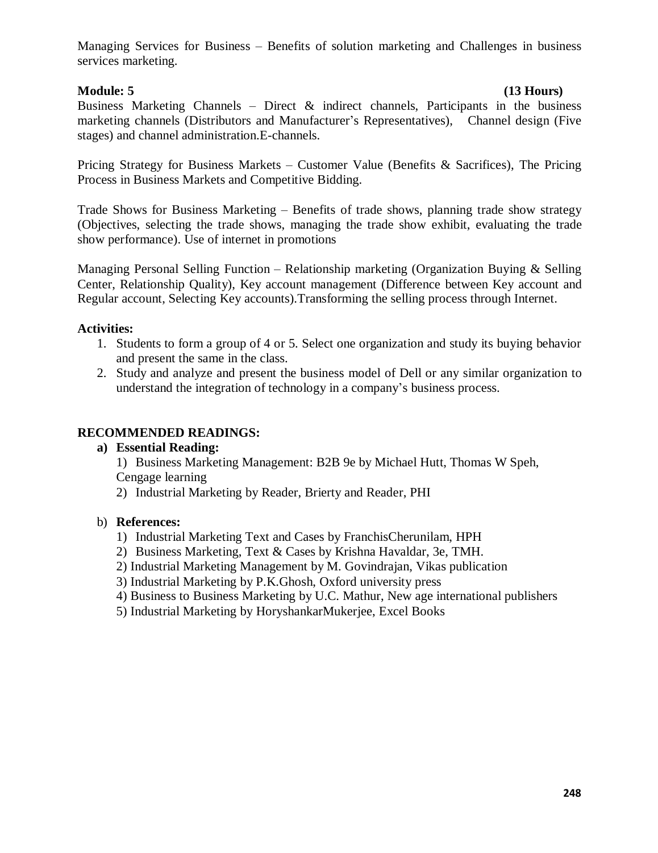Managing Services for Business – Benefits of solution marketing and Challenges in business services marketing.

# **Module: 5 (13 Hours)**

Business Marketing Channels – Direct & indirect channels, Participants in the business marketing channels (Distributors and Manufacturer's Representatives), Channel design (Five stages) and channel administration.E-channels.

Pricing Strategy for Business Markets – Customer Value (Benefits & Sacrifices), The Pricing Process in Business Markets and Competitive Bidding.

Trade Shows for Business Marketing – Benefits of trade shows, planning trade show strategy (Objectives, selecting the trade shows, managing the trade show exhibit, evaluating the trade show performance). Use of internet in promotions

Managing Personal Selling Function – Relationship marketing (Organization Buying & Selling Center, Relationship Quality), Key account management (Difference between Key account and Regular account, Selecting Key accounts).Transforming the selling process through Internet.

# **Activities:**

- 1. Students to form a group of 4 or 5. Select one organization and study its buying behavior and present the same in the class.
- 2. Study and analyze and present the business model of Dell or any similar organization to understand the integration of technology in a company's business process.

# **RECOMMENDED READINGS:**

# **a) Essential Reading:**

1) Business Marketing Management: B2B 9e by Michael Hutt, Thomas W Speh, Cengage learning

2) Industrial Marketing by Reader, Brierty and Reader, PHI

### b) **References:**

- 1) Industrial Marketing Text and Cases by FranchisCherunilam, HPH
- 2) Business Marketing, Text & Cases by Krishna Havaldar, 3e, TMH.
- 2) Industrial Marketing Management by M. Govindrajan, Vikas publication
- 3) Industrial Marketing by P.K.Ghosh, Oxford university press
- 4) Business to Business Marketing by U.C. Mathur, New age international publishers
- 5) Industrial Marketing by HoryshankarMukerjee, Excel Books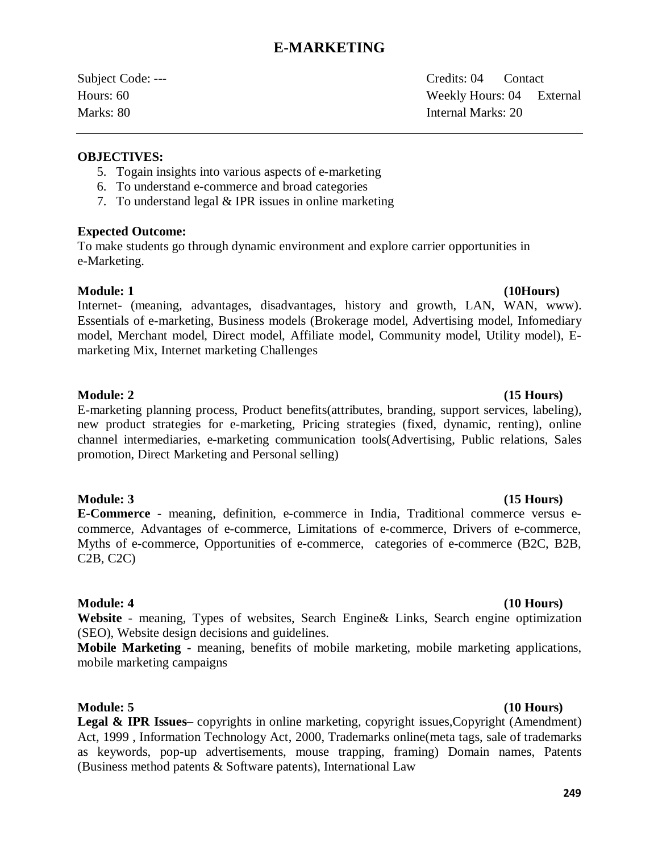# **E-MARKETING**

Subject Code: --- Credits: 04 Contact Hours: 60 Weekly Hours: 04 External Marks: 80 Internal Marks: 20

### **OBJECTIVES:**

- 5. Togain insights into various aspects of e-marketing
- 6. To understand e-commerce and broad categories
- 7. To understand legal & IPR issues in online marketing

### **Expected Outcome:**

To make students go through dynamic environment and explore carrier opportunities in e-Marketing.

### **Module: 1 (10Hours)**

Internet- (meaning, advantages, disadvantages, history and growth, LAN, WAN, www). Essentials of e-marketing, Business models (Brokerage model, Advertising model, Infomediary model, Merchant model, Direct model, Affiliate model, Community model, Utility model), Emarketing Mix, Internet marketing Challenges

# **Module: 2** (15 Hours)

E-marketing planning process, Product benefits(attributes, branding, support services, labeling), new product strategies for e-marketing, Pricing strategies (fixed, dynamic, renting), online channel intermediaries, e-marketing communication tools(Advertising, Public relations, Sales promotion, Direct Marketing and Personal selling)

# **Module: 3 (15 Hours)**

**E-Commerce** - meaning, definition, e-commerce in India, Traditional commerce versus ecommerce, Advantages of e-commerce, Limitations of e-commerce, Drivers of e-commerce, Myths of e-commerce, Opportunities of e-commerce, categories of e-commerce (B2C, B2B, C2B, C2C)

# **Module: 4 (10 Hours)**

**Website** - meaning, Types of websites, Search Engine& Links, Search engine optimization (SEO), Website design decisions and guidelines.

**Mobile Marketing -** meaning, benefits of mobile marketing, mobile marketing applications, mobile marketing campaigns

### **Module: 5 (10 Hours)**

**Legal & IPR Issues**– copyrights in online marketing, copyright issues, Copyright (Amendment) Act, 1999 , Information Technology Act, 2000, Trademarks online(meta tags, sale of trademarks as keywords, pop-up advertisements, mouse trapping, framing) Domain names, Patents (Business method patents & Software patents), International Law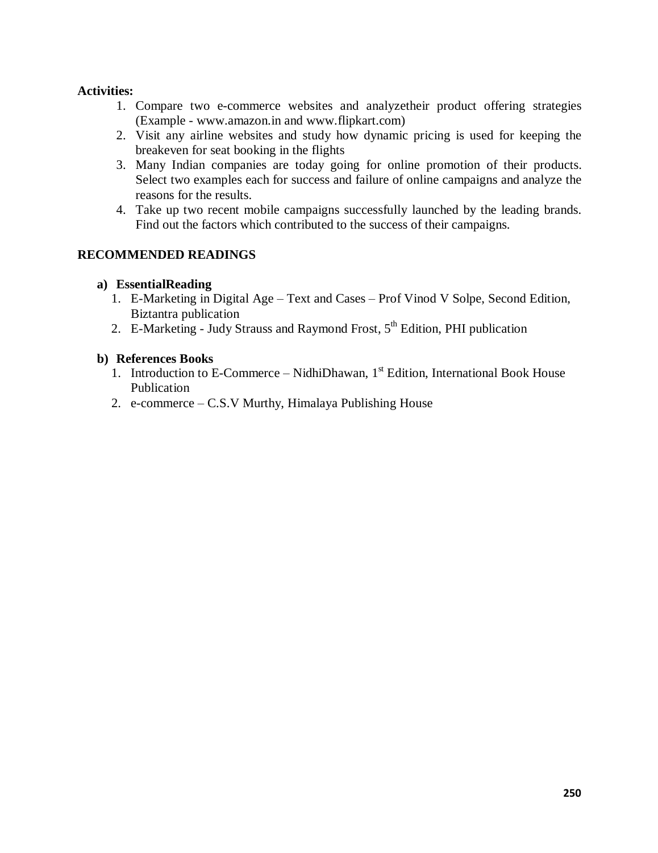# **Activities:**

- 1. Compare two e-commerce websites and analyzetheir product offering strategies (Example - www.amazon.in and www.flipkart.com)
- 2. Visit any airline websites and study how dynamic pricing is used for keeping the breakeven for seat booking in the flights
- 3. Many Indian companies are today going for online promotion of their products. Select two examples each for success and failure of online campaigns and analyze the reasons for the results.
- 4. Take up two recent mobile campaigns successfully launched by the leading brands. Find out the factors which contributed to the success of their campaigns.

# **RECOMMENDED READINGS**

### **a) EssentialReading**

- 1. E-Marketing in Digital Age Text and Cases Prof Vinod V Solpe, Second Edition, Biztantra publication
- 2. E-Marketing Judy Strauss and Raymond Frost,  $5<sup>th</sup>$  Edition, PHI publication

### **b) References Books**

- 1. Introduction to E-Commerce NidhiDhawan,  $1<sup>st</sup>$  Edition, International Book House Publication
- 2. e-commerce C.S.V Murthy, Himalaya Publishing House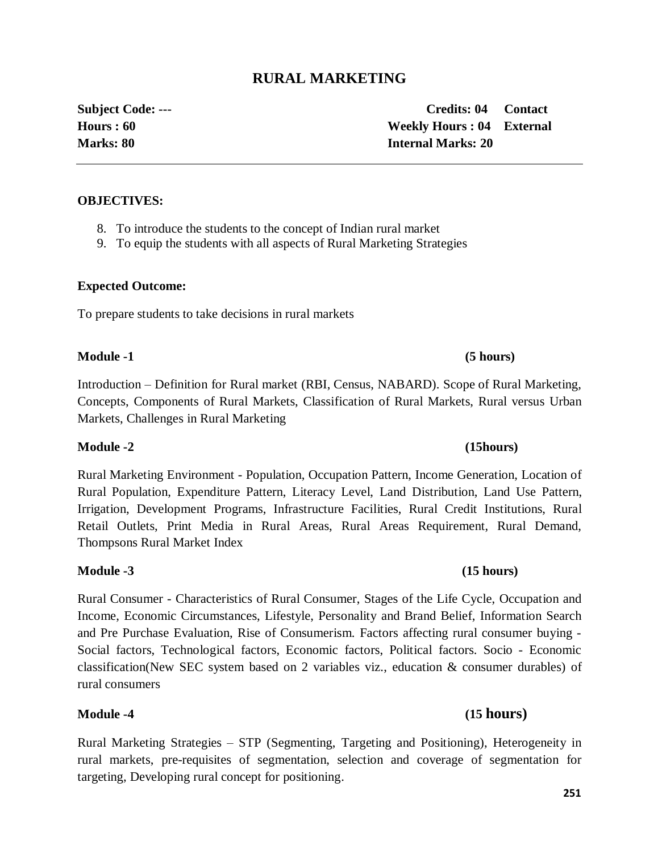# **RURAL MARKETING**

### **OBJECTIVES:**

- 8. To introduce the students to the concept of Indian rural market
- 9. To equip the students with all aspects of Rural Marketing Strategies

### **Expected Outcome:**

To prepare students to take decisions in rural markets

### **Module -1 (5 hours)**

Introduction – Definition for Rural market (RBI, Census, NABARD). Scope of Rural Marketing, Concepts, Components of Rural Markets, Classification of Rural Markets, Rural versus Urban Markets, Challenges in Rural Marketing

### **Module -2 (15hours)**

Rural Marketing Environment - Population, Occupation Pattern, Income Generation, Location of Rural Population, Expenditure Pattern, Literacy Level, Land Distribution, Land Use Pattern, Irrigation, Development Programs, Infrastructure Facilities, Rural Credit Institutions, Rural Retail Outlets, Print Media in Rural Areas, Rural Areas Requirement, Rural Demand, Thompsons Rural Market Index

Rural Consumer - Characteristics of Rural Consumer, Stages of the Life Cycle, Occupation and Income, Economic Circumstances, Lifestyle, Personality and Brand Belief, Information Search and Pre Purchase Evaluation, Rise of Consumerism. Factors affecting rural consumer buying - Social factors, Technological factors, Economic factors, Political factors. Socio - Economic classification(New SEC system based on 2 variables viz., education & consumer durables) of rural consumers

Rural Marketing Strategies – STP (Segmenting, Targeting and Positioning), Heterogeneity in rural markets, pre-requisites of segmentation, selection and coverage of segmentation for targeting, Developing rural concept for positioning.

**Subject Code: --- Credits: 04 Contact Hours : 60 Weekly Hours : 04 External Marks: 80 Internal Marks: 20**

# **Module -3 (15 hours)**

# **Module -4 (15 hours)**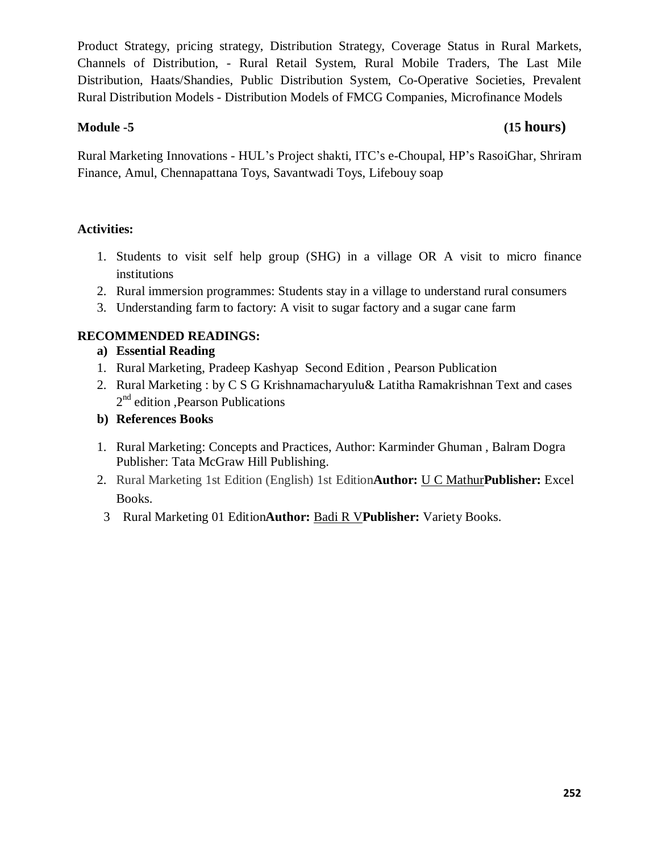Product Strategy, pricing strategy, Distribution Strategy, Coverage Status in Rural Markets, Channels of Distribution, - Rural Retail System, Rural Mobile Traders, The Last Mile Distribution, Haats/Shandies, Public Distribution System, Co-Operative Societies, Prevalent Rural Distribution Models - Distribution Models of FMCG Companies, Microfinance Models

# **Module -5 (15 hours)**

Rural Marketing Innovations - HUL's Project shakti, ITC's e-Choupal, HP's RasoiGhar, Shriram Finance, Amul, Chennapattana Toys, Savantwadi Toys, Lifebouy soap

# **Activities:**

- 1. Students to visit self help group (SHG) in a village OR A visit to micro finance institutions
- 2. Rural immersion programmes: Students stay in a village to understand rural consumers
- 3. Understanding farm to factory: A visit to sugar factory and a sugar cane farm

# **RECOMMENDED READINGS:**

- **a) Essential Reading**
- 1. Rural Marketing, Pradeep Kashyap Second Edition , Pearson Publication
- 2. Rural Marketing : by C S G Krishnamacharyulu& Latitha Ramakrishnan Text and cases 2<sup>nd</sup> edition , Pearson Publications
- **b) References Books**
- 1. Rural Marketing: Concepts and Practices, Author: Karminder Ghuman , Balram Dogra Publisher: Tata McGraw Hill Publishing.
- 2. Rural Marketing 1st Edition (English) 1st Edition**Author:** U C Mathur**Publisher:** Excel Books.
- 3 Rural Marketing 01 Edition**Author:** Badi R V**Publisher:** Variety Books.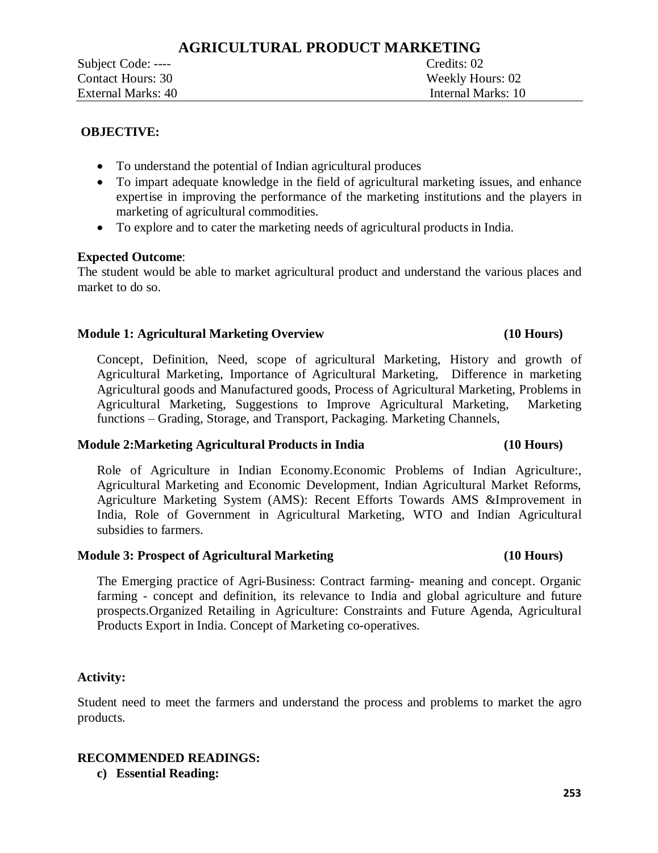• To understand the potential of Indian agricultural produces

Subject Code: ----

Contact Hours: 30 Weekly Hours: 02 External Marks: 40 Internal Marks: 10

- · To impart adequate knowledge in the field of agricultural marketing issues, and enhance expertise in improving the performance of the marketing institutions and the players in marketing of agricultural commodities.
- · To explore and to cater the marketing needs of agricultural products in India.

# **Expected Outcome**:

The student would be able to market agricultural product and understand the various places and market to do so.

# **Module 1: Agricultural Marketing Overview (10 Hours)**

Concept, Definition, Need, scope of agricultural Marketing, History and growth of Agricultural Marketing, Importance of Agricultural Marketing, Difference in marketing Agricultural goods and Manufactured goods, Process of Agricultural Marketing, Problems in Agricultural Marketing, Suggestions to Improve Agricultural Marketing, Marketing functions – Grading, Storage, and Transport, Packaging. Marketing Channels,

### **Module 2:Marketing Agricultural Products in India (10 Hours)**

Role of Agriculture in Indian Economy.Economic Problems of Indian Agriculture:, Agricultural Marketing and Economic Development, Indian Agricultural Market Reforms, Agriculture Marketing System (AMS): Recent Efforts Towards AMS &Improvement in India, Role of Government in Agricultural Marketing, WTO and Indian Agricultural subsidies to farmers.

### **Module 3: Prospect of Agricultural Marketing (10 Hours)**

The Emerging practice of Agri-Business: Contract farming- meaning and concept. Organic farming - concept and definition, its relevance to India and global agriculture and future prospects.Organized Retailing in Agriculture: Constraints and Future Agenda, Agricultural Products Export in India. Concept of Marketing co-operatives.

### **Activity:**

Student need to meet the farmers and understand the process and problems to market the agro products.

### **RECOMMENDED READINGS:**

**c) Essential Reading:**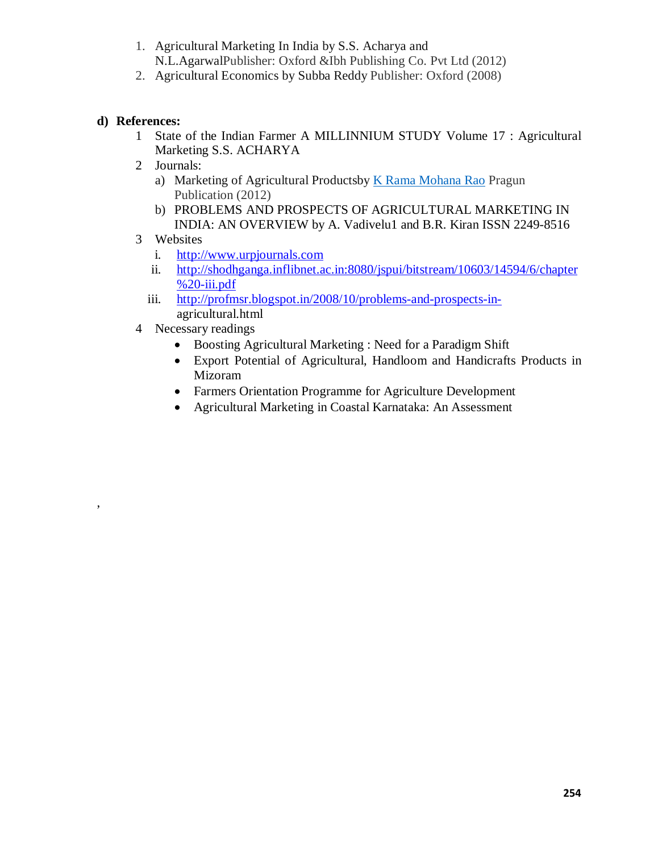- 1. Agricultural Marketing In India by S.S. Acharya and N.L.AgarwalPublisher: Oxford &Ibh Publishing Co. Pvt Ltd (2012)
- 2. Agricultural Economics by Subba Reddy Publisher: Oxford (2008)

# **d) References:**

,

- 1 State of the Indian Farmer A MILLINNIUM STUDY Volume 17 : Agricultural Marketing S.S. ACHARYA
- 2 Journals:
	- a) Marketing of Agricultural Productsby K Rama Mohana Rao Pragun Publication (2012)
	- b) PROBLEMS AND PROSPECTS OF AGRICULTURAL MARKETING IN INDIA: AN OVERVIEW by A. Vadivelu1 and B.R. Kiran ISSN 2249-8516
- 3 Websites
	- i. http://www.urpjournals.com
	- ii. http://shodhganga.inflibnet.ac.in:8080/jspui/bitstream/10603/14594/6/chapter  $% 20$ -iii.pdf
	- iii. http://profmsr.blogspot.in/2008/10/problems-and-prospects-inagricultural.html
- 4 Necessary readings
	- · Boosting Agricultural Marketing : Need for a Paradigm Shift
	- · Export Potential of Agricultural, Handloom and Handicrafts Products in Mizoram
	- · Farmers Orientation Programme for Agriculture Development
	- · Agricultural Marketing in Coastal Karnataka: An Assessment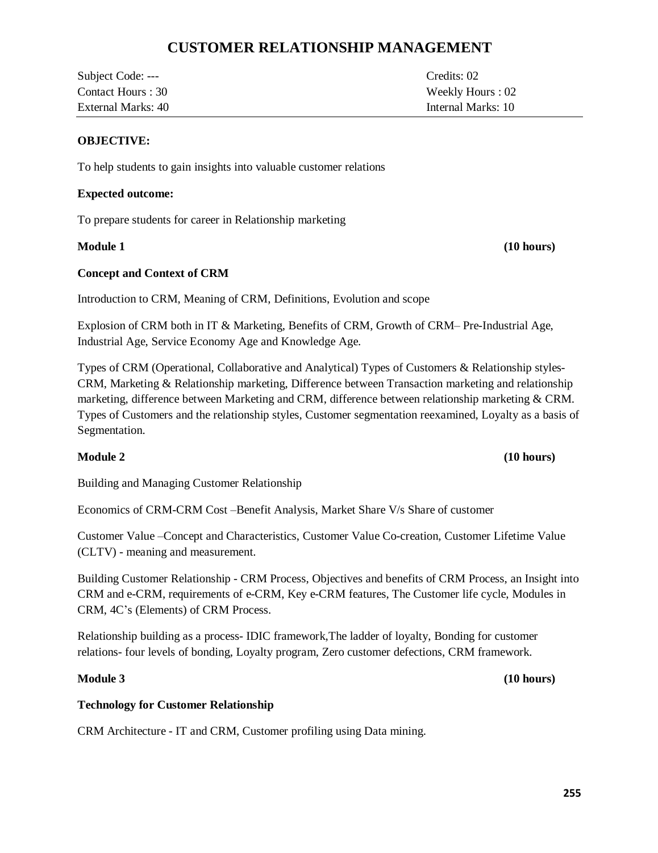# **CUSTOMER RELATIONSHIP MANAGEMENT**

| Subject Code: ---  | Credits: 02        |
|--------------------|--------------------|
| Contact Hours : 30 | Weekly Hours : 02  |
| External Marks: 40 | Internal Marks: 10 |

### **OBJECTIVE:**

To help students to gain insights into valuable customer relations

### **Expected outcome:**

To prepare students for career in Relationship marketing

### **Concept and Context of CRM**

Introduction to CRM, Meaning of CRM, Definitions, Evolution and scope

Explosion of CRM both in IT & Marketing, Benefits of CRM, Growth of CRM– Pre-Industrial Age, Industrial Age, Service Economy Age and Knowledge Age.

Types of CRM (Operational, Collaborative and Analytical) Types of Customers & Relationship styles-CRM, Marketing & Relationship marketing, Difference between Transaction marketing and relationship marketing, difference between Marketing and CRM, difference between relationship marketing & CRM. Types of Customers and the relationship styles, Customer segmentation reexamined, Loyalty as a basis of Segmentation.

### **Module 2 (10 hours)**

Building and Managing Customer Relationship

Economics of CRM-CRM Cost –Benefit Analysis, Market Share V/s Share of customer

Customer Value –Concept and Characteristics, Customer Value Co-creation, Customer Lifetime Value (CLTV) - meaning and measurement.

Building Customer Relationship - CRM Process, Objectives and benefits of CRM Process, an Insight into CRM and e-CRM, requirements of e-CRM, Key e-CRM features, The Customer life cycle, Modules in CRM, 4C's (Elements) of CRM Process.

Relationship building as a process- IDIC framework,The ladder of loyalty, Bonding for customer relations- four levels of bonding, Loyalty program, Zero customer defections, CRM framework.

### **Module 3 (10 hours)**

### **Technology for Customer Relationship**

CRM Architecture - IT and CRM, Customer profiling using Data mining.

**Module 1 (10 hours)**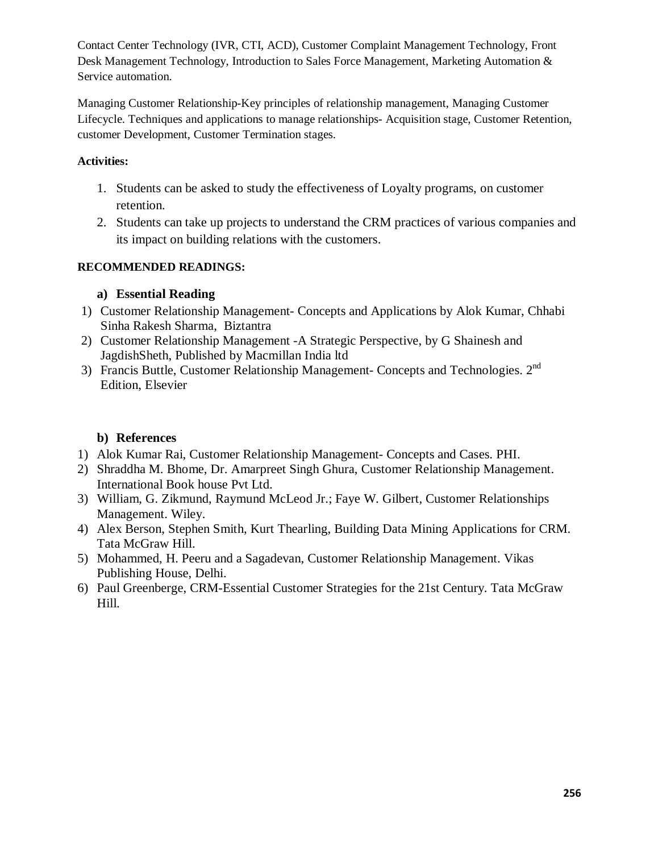Contact Center Technology (IVR, CTI, ACD), Customer Complaint Management Technology, Front Desk Management Technology, Introduction to Sales Force Management, Marketing Automation & Service automation.

Managing Customer Relationship-Key principles of relationship management, Managing Customer Lifecycle. Techniques and applications to manage relationships- Acquisition stage, Customer Retention, customer Development, Customer Termination stages.

# **Activities:**

- 1. Students can be asked to study the effectiveness of Loyalty programs, on customer retention.
- 2. Students can take up projects to understand the CRM practices of various companies and its impact on building relations with the customers.

# **RECOMMENDED READINGS:**

# **a) Essential Reading**

- 1) Customer Relationship Management- Concepts and Applications by Alok Kumar, Chhabi Sinha Rakesh Sharma, Biztantra
- 2) Customer Relationship Management -A Strategic Perspective, by G Shainesh and JagdishSheth, Published by Macmillan India ltd
- 3) Francis Buttle, Customer Relationship Management- Concepts and Technologies. 2<sup>nd</sup> Edition, Elsevier

# **b) References**

- 1) Alok Kumar Rai, Customer Relationship Management- Concepts and Cases. PHI.
- 2) Shraddha M. Bhome, Dr. Amarpreet Singh Ghura, Customer Relationship Management. International Book house Pvt Ltd.
- 3) William, G. Zikmund, Raymund McLeod Jr.; Faye W. Gilbert, Customer Relationships Management. Wiley.
- 4) Alex Berson, Stephen Smith, Kurt Thearling, Building Data Mining Applications for CRM. Tata McGraw Hill.
- 5) Mohammed, H. Peeru and a Sagadevan, Customer Relationship Management. Vikas Publishing House, Delhi.
- 6) Paul Greenberge, CRM-Essential Customer Strategies for the 21st Century. Tata McGraw Hill.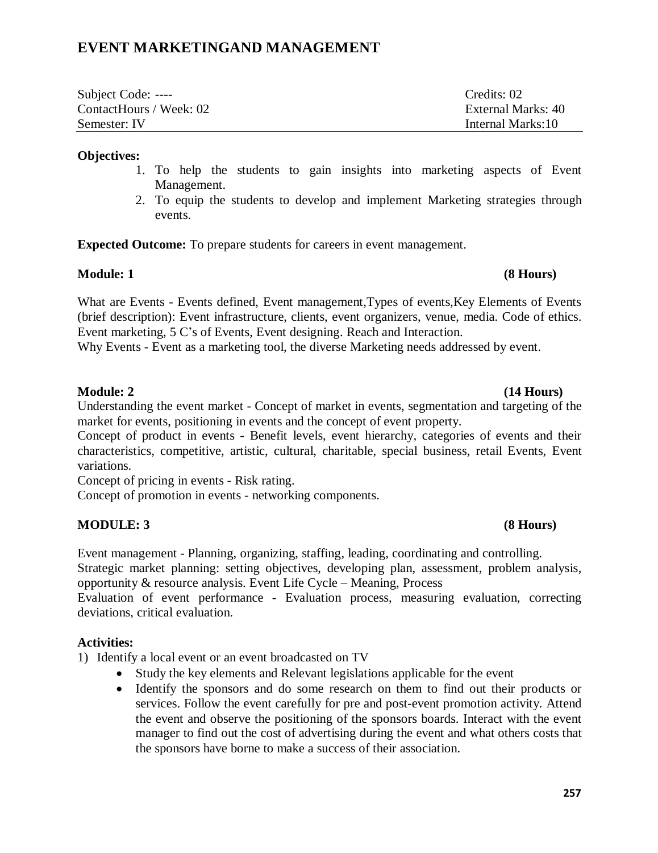# **EVENT MARKETINGAND MANAGEMENT**

| Subject Code: ----      | Credits: 02        |
|-------------------------|--------------------|
| ContactHours / Week: 02 | External Marks: 40 |
| Semester: IV            | Internal Marks:10  |

### **Objectives:**

- 1. To help the students to gain insights into marketing aspects of Event Management.
- 2. To equip the students to develop and implement Marketing strategies through events.

**Expected Outcome:** To prepare students for careers in event management.

# **Module: 1 (8 Hours)**

What are Events - Events defined, Event management,Types of events,Key Elements of Events (brief description): Event infrastructure, clients, event organizers, venue, media. Code of ethics. Event marketing, 5 C's of Events, Event designing. Reach and Interaction.

Why Events - Event as a marketing tool, the diverse Marketing needs addressed by event.

# **Module: 2 (14 Hours)**

Understanding the event market - Concept of market in events, segmentation and targeting of the market for events, positioning in events and the concept of event property.

Concept of product in events - Benefit levels, event hierarchy, categories of events and their characteristics, competitive, artistic, cultural, charitable, special business, retail Events, Event variations.

Concept of pricing in events - Risk rating.

Concept of promotion in events - networking components.

# **MODULE: 3 (8 Hours)**

Event management - Planning, organizing, staffing, leading, coordinating and controlling.

Strategic market planning: setting objectives, developing plan, assessment, problem analysis, opportunity & resource analysis. Event Life Cycle – Meaning, Process

Evaluation of event performance - Evaluation process, measuring evaluation, correcting deviations, critical evaluation.

### **Activities:**

1) Identify a local event or an event broadcasted on TV

- · Study the key elements and Relevant legislations applicable for the event
- Identify the sponsors and do some research on them to find out their products or services. Follow the event carefully for pre and post-event promotion activity. Attend the event and observe the positioning of the sponsors boards. Interact with the event manager to find out the cost of advertising during the event and what others costs that the sponsors have borne to make a success of their association.